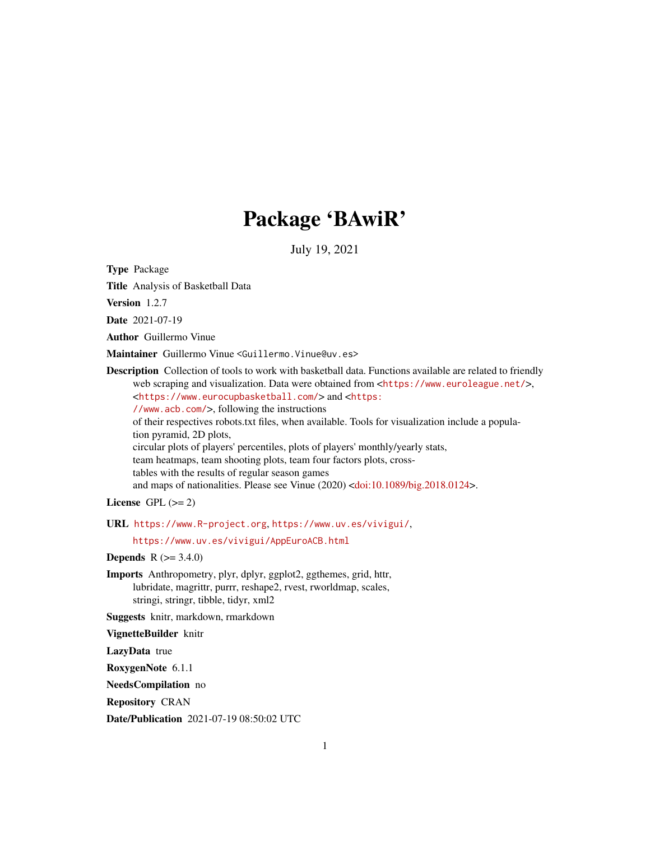# Package 'BAwiR'

July 19, 2021

<span id="page-0-0"></span>Type Package

Title Analysis of Basketball Data

Version 1.2.7

Date 2021-07-19

Author Guillermo Vinue

Maintainer Guillermo Vinue <Guillermo.Vinue@uv.es>

Description Collection of tools to work with basketball data. Functions available are related to friendly web scraping and visualization. Data were obtained from <<https://www.euroleague.net/>>, <<https://www.eurocupbasketball.com/>> and <[https:](https://www.acb.com/) [//www.acb.com/](https://www.acb.com/)>, following the instructions of their respectives robots.txt files, when available. Tools for visualization include a population pyramid, 2D plots, circular plots of players' percentiles, plots of players' monthly/yearly stats, team heatmaps, team shooting plots, team four factors plots, crosstables with the results of regular season games and maps of nationalities. Please see Vinue (2020) [<doi:10.1089/big.2018.0124>](https://doi.org/10.1089/big.2018.0124).

License GPL  $(>= 2)$ 

URL <https://www.R-project.org>, <https://www.uv.es/vivigui/>,

<https://www.uv.es/vivigui/AppEuroACB.html>

**Depends**  $R (= 3.4.0)$ 

Imports Anthropometry, plyr, dplyr, ggplot2, ggthemes, grid, httr, lubridate, magrittr, purrr, reshape2, rvest, rworldmap, scales, stringi, stringr, tibble, tidyr, xml2

Suggests knitr, markdown, rmarkdown

VignetteBuilder knitr

LazyData true

RoxygenNote 6.1.1

NeedsCompilation no

Repository CRAN

Date/Publication 2021-07-19 08:50:02 UTC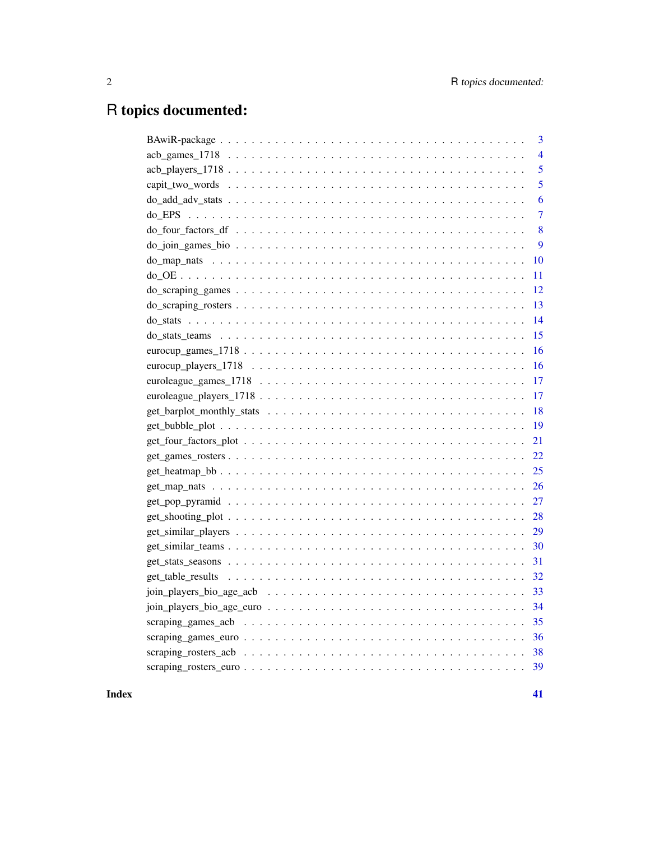# R topics documented:

| 3                                                                                                                                                                                                                                  |
|------------------------------------------------------------------------------------------------------------------------------------------------------------------------------------------------------------------------------------|
| $\overline{4}$                                                                                                                                                                                                                     |
| 5                                                                                                                                                                                                                                  |
| 5                                                                                                                                                                                                                                  |
| 6                                                                                                                                                                                                                                  |
| $\overline{7}$                                                                                                                                                                                                                     |
| do_four_factors_df \\code \\code \\code \\code \\code \\code \\code \\code \\code \\code \\code \\code \\code \\code \\code \\code \\code \\code \\code \\code \\code \\code \\code \\code \\code \\code \\code \\code \\code<br>8 |
| 9                                                                                                                                                                                                                                  |
| 10                                                                                                                                                                                                                                 |
| 11                                                                                                                                                                                                                                 |
| 12                                                                                                                                                                                                                                 |
| 13                                                                                                                                                                                                                                 |
| 14                                                                                                                                                                                                                                 |
| 15                                                                                                                                                                                                                                 |
| 16                                                                                                                                                                                                                                 |
| 16                                                                                                                                                                                                                                 |
| 17                                                                                                                                                                                                                                 |
| 17                                                                                                                                                                                                                                 |
| 18                                                                                                                                                                                                                                 |
| 19                                                                                                                                                                                                                                 |
| 21                                                                                                                                                                                                                                 |
| 22                                                                                                                                                                                                                                 |
|                                                                                                                                                                                                                                    |
| 26                                                                                                                                                                                                                                 |
| 27                                                                                                                                                                                                                                 |
| 28                                                                                                                                                                                                                                 |
| 29                                                                                                                                                                                                                                 |
| 30                                                                                                                                                                                                                                 |
| 31                                                                                                                                                                                                                                 |
| 32                                                                                                                                                                                                                                 |
| 33                                                                                                                                                                                                                                 |
| 34                                                                                                                                                                                                                                 |
| 35                                                                                                                                                                                                                                 |
| 36                                                                                                                                                                                                                                 |
| 38                                                                                                                                                                                                                                 |
|                                                                                                                                                                                                                                    |
|                                                                                                                                                                                                                                    |

#### **Index** [41](#page-40-0)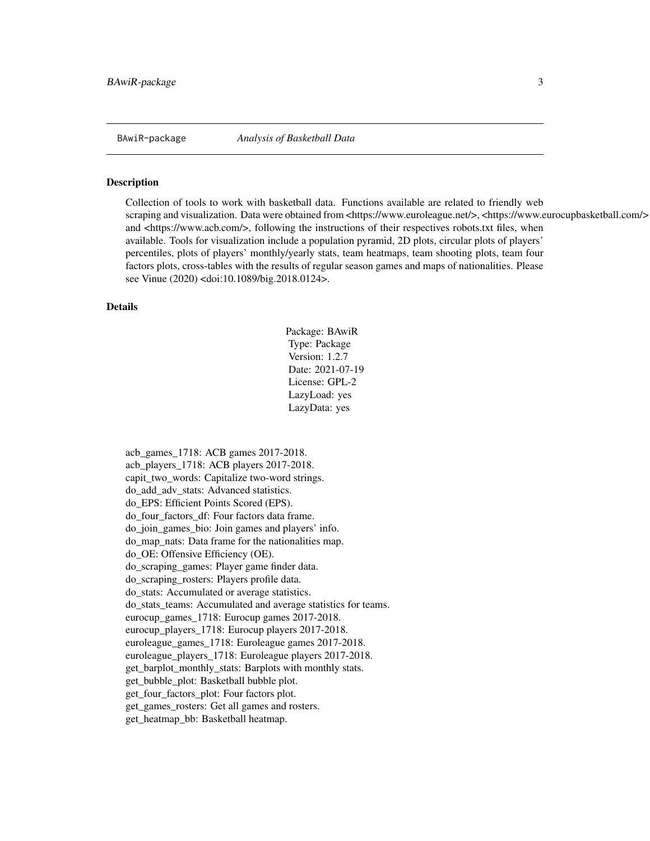<span id="page-2-0"></span>BAwiR-package *Analysis of Basketball Data*

#### Description

Collection of tools to work with basketball data. Functions available are related to friendly web scraping and visualization. Data were obtained from <https://www.euroleague.net/>, <https://www.eurocupbasketball.com/> and <https://www.acb.com/>, following the instructions of their respectives robots.txt files, when available. Tools for visualization include a population pyramid, 2D plots, circular plots of players' percentiles, plots of players' monthly/yearly stats, team heatmaps, team shooting plots, team four factors plots, cross-tables with the results of regular season games and maps of nationalities. Please see Vinue (2020) <doi:10.1089/big.2018.0124>.

#### Details

Package: BAwiR Type: Package Version: 1.2.7 Date: 2021-07-19 License: GPL-2 LazyLoad: yes LazyData: yes

acb\_games\_1718: ACB games 2017-2018. acb\_players\_1718: ACB players 2017-2018. capit\_two\_words: Capitalize two-word strings. do\_add\_adv\_stats: Advanced statistics. do\_EPS: Efficient Points Scored (EPS). do four factors df: Four factors data frame. do\_join\_games\_bio: Join games and players' info. do\_map\_nats: Data frame for the nationalities map. do\_OE: Offensive Efficiency (OE). do\_scraping\_games: Player game finder data. do\_scraping\_rosters: Players profile data. do\_stats: Accumulated or average statistics. do\_stats\_teams: Accumulated and average statistics for teams. eurocup\_games\_1718: Eurocup games 2017-2018. eurocup\_players\_1718: Eurocup players 2017-2018. euroleague\_games\_1718: Euroleague games 2017-2018. euroleague\_players\_1718: Euroleague players 2017-2018. get\_barplot\_monthly\_stats: Barplots with monthly stats. get bubble plot: Basketball bubble plot. get\_four\_factors\_plot: Four factors plot. get games rosters: Get all games and rosters. get\_heatmap\_bb: Basketball heatmap.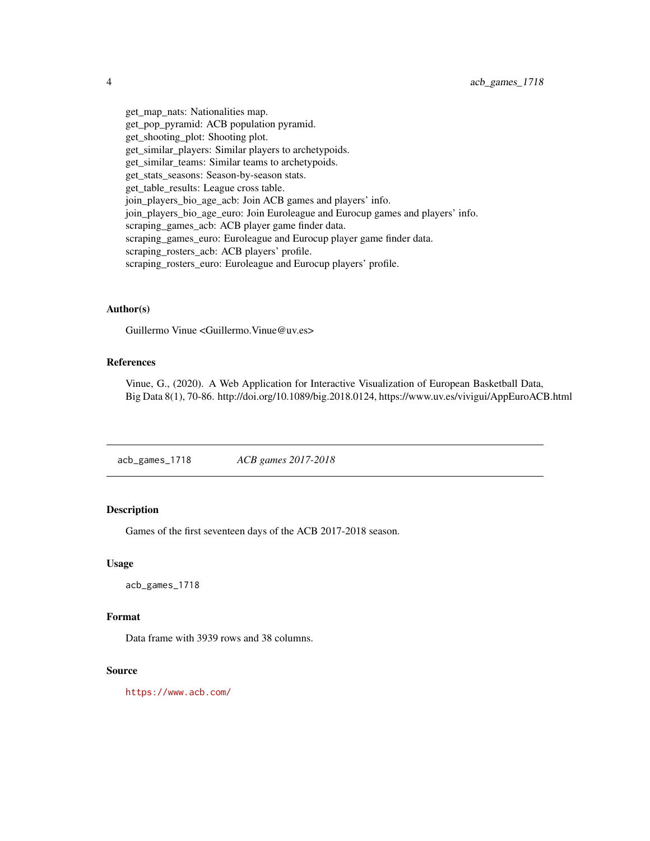<span id="page-3-0"></span>get\_map\_nats: Nationalities map. get\_pop\_pyramid: ACB population pyramid. get shooting plot: Shooting plot. get\_similar\_players: Similar players to archetypoids. get\_similar\_teams: Similar teams to archetypoids. get\_stats\_seasons: Season-by-season stats. get\_table\_results: League cross table. join\_players\_bio\_age\_acb: Join ACB games and players' info. join\_players\_bio\_age\_euro: Join Euroleague and Eurocup games and players' info. scraping\_games\_acb: ACB player game finder data. scraping\_games\_euro: Euroleague and Eurocup player game finder data. scraping\_rosters\_acb: ACB players' profile. scraping\_rosters\_euro: Euroleague and Eurocup players' profile.

### Author(s)

Guillermo Vinue <Guillermo.Vinue@uv.es>

### References

Vinue, G., (2020). A Web Application for Interactive Visualization of European Basketball Data, Big Data 8(1), 70-86. http://doi.org/10.1089/big.2018.0124, https://www.uv.es/vivigui/AppEuroACB.html

acb\_games\_1718 *ACB games 2017-2018*

#### Description

Games of the first seventeen days of the ACB 2017-2018 season.

#### Usage

acb\_games\_1718

#### Format

Data frame with 3939 rows and 38 columns.

### Source

<https://www.acb.com/>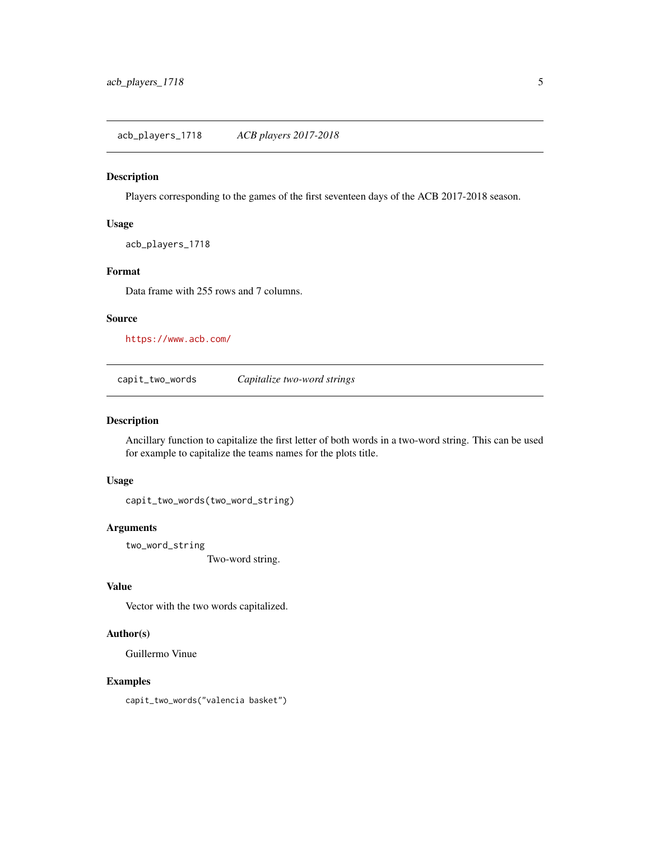<span id="page-4-0"></span>acb\_players\_1718 *ACB players 2017-2018*

### Description

Players corresponding to the games of the first seventeen days of the ACB 2017-2018 season.

#### Usage

acb\_players\_1718

#### Format

Data frame with 255 rows and 7 columns.

#### Source

<https://www.acb.com/>

<span id="page-4-1"></span>capit\_two\_words *Capitalize two-word strings*

#### Description

Ancillary function to capitalize the first letter of both words in a two-word string. This can be used for example to capitalize the teams names for the plots title.

### Usage

capit\_two\_words(two\_word\_string)

#### Arguments

two\_word\_string Two-word string.

### Value

Vector with the two words capitalized.

#### Author(s)

Guillermo Vinue

#### Examples

capit\_two\_words("valencia basket")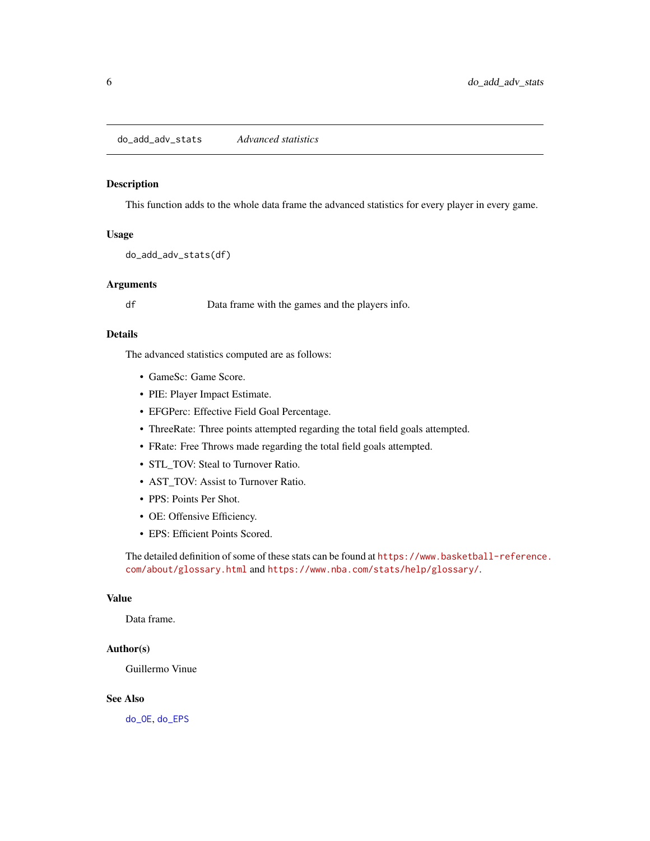<span id="page-5-1"></span><span id="page-5-0"></span>do\_add\_adv\_stats *Advanced statistics*

#### Description

This function adds to the whole data frame the advanced statistics for every player in every game.

### Usage

do\_add\_adv\_stats(df)

#### Arguments

df Data frame with the games and the players info.

### Details

The advanced statistics computed are as follows:

- GameSc: Game Score.
- PIE: Player Impact Estimate.
- EFGPerc: Effective Field Goal Percentage.
- ThreeRate: Three points attempted regarding the total field goals attempted.
- FRate: Free Throws made regarding the total field goals attempted.
- STL\_TOV: Steal to Turnover Ratio.
- AST\_TOV: Assist to Turnover Ratio.
- PPS: Points Per Shot.
- OE: Offensive Efficiency.
- EPS: Efficient Points Scored.

The detailed definition of some of these stats can be found at [https://www.basketball-reference](https://www.basketball-reference.com/about/glossary.html). [com/about/glossary.html](https://www.basketball-reference.com/about/glossary.html) and <https://www.nba.com/stats/help/glossary/>.

### Value

Data frame.

### Author(s)

Guillermo Vinue

### See Also

[do\\_OE](#page-10-1), [do\\_EPS](#page-6-1)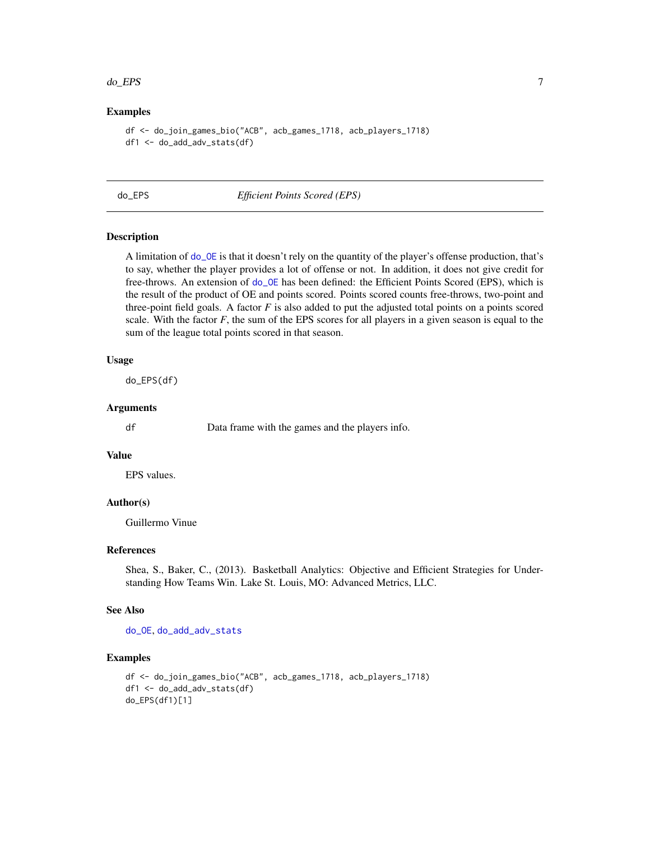#### <span id="page-6-0"></span>do\_EPS 7

### Examples

```
df <- do_join_games_bio("ACB", acb_games_1718, acb_players_1718)
df1 <- do_add_adv_stats(df)
```
<span id="page-6-1"></span>

do\_EPS *Efficient Points Scored (EPS)*

#### Description

A limitation of [do\\_OE](#page-10-1) is that it doesn't rely on the quantity of the player's offense production, that's to say, whether the player provides a lot of offense or not. In addition, it does not give credit for free-throws. An extension of [do\\_OE](#page-10-1) has been defined: the Efficient Points Scored (EPS), which is the result of the product of OE and points scored. Points scored counts free-throws, two-point and three-point field goals. A factor  $F$  is also added to put the adjusted total points on a points scored scale. With the factor  $F$ , the sum of the EPS scores for all players in a given season is equal to the sum of the league total points scored in that season.

#### Usage

do\_EPS(df)

### Arguments

df Data frame with the games and the players info.

### Value

EPS values.

### Author(s)

Guillermo Vinue

### References

Shea, S., Baker, C., (2013). Basketball Analytics: Objective and Efficient Strategies for Understanding How Teams Win. Lake St. Louis, MO: Advanced Metrics, LLC.

### See Also

[do\\_OE](#page-10-1), [do\\_add\\_adv\\_stats](#page-5-1)

#### Examples

```
df <- do_join_games_bio("ACB", acb_games_1718, acb_players_1718)
df1 <- do_add_adv_stats(df)
do_EPS(df1)[1]
```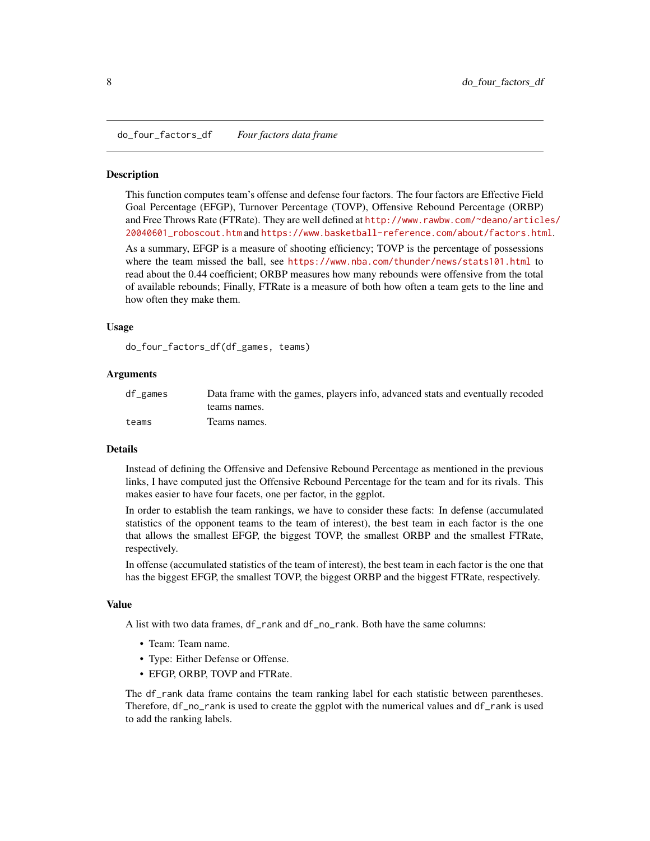<span id="page-7-1"></span><span id="page-7-0"></span>do\_four\_factors\_df *Four factors data frame*

#### Description

This function computes team's offense and defense four factors. The four factors are Effective Field Goal Percentage (EFGP), Turnover Percentage (TOVP), Offensive Rebound Percentage (ORBP) and Free Throws Rate (FTRate). They are well defined at [http://www.rawbw.com/~deano/articl](http://www.rawbw.com/~deano/articles/20040601_roboscout.htm)es/ [20040601\\_roboscout.htm](http://www.rawbw.com/~deano/articles/20040601_roboscout.htm) and <https://www.basketball-reference.com/about/factors.html>.

As a summary, EFGP is a measure of shooting efficiency; TOVP is the percentage of possessions where the team missed the ball, see <https://www.nba.com/thunder/news/stats101.html> to read about the 0.44 coefficient; ORBP measures how many rebounds were offensive from the total of available rebounds; Finally, FTRate is a measure of both how often a team gets to the line and how often they make them.

#### Usage

do\_four\_factors\_df(df\_games, teams)

#### Arguments

| $df$ games | Data frame with the games, players info, advanced stats and eventually recoded |
|------------|--------------------------------------------------------------------------------|
|            | teams names.                                                                   |
| teams      | Teams names.                                                                   |

#### Details

Instead of defining the Offensive and Defensive Rebound Percentage as mentioned in the previous links, I have computed just the Offensive Rebound Percentage for the team and for its rivals. This makes easier to have four facets, one per factor, in the ggplot.

In order to establish the team rankings, we have to consider these facts: In defense (accumulated statistics of the opponent teams to the team of interest), the best team in each factor is the one that allows the smallest EFGP, the biggest TOVP, the smallest ORBP and the smallest FTRate, respectively.

In offense (accumulated statistics of the team of interest), the best team in each factor is the one that has the biggest EFGP, the smallest TOVP, the biggest ORBP and the biggest FTRate, respectively.

#### Value

A list with two data frames, df\_rank and df\_no\_rank. Both have the same columns:

- Team: Team name.
- Type: Either Defense or Offense.
- EFGP, ORBP, TOVP and FTRate.

The df\_rank data frame contains the team ranking label for each statistic between parentheses. Therefore, df\_no\_rank is used to create the ggplot with the numerical values and df\_rank is used to add the ranking labels.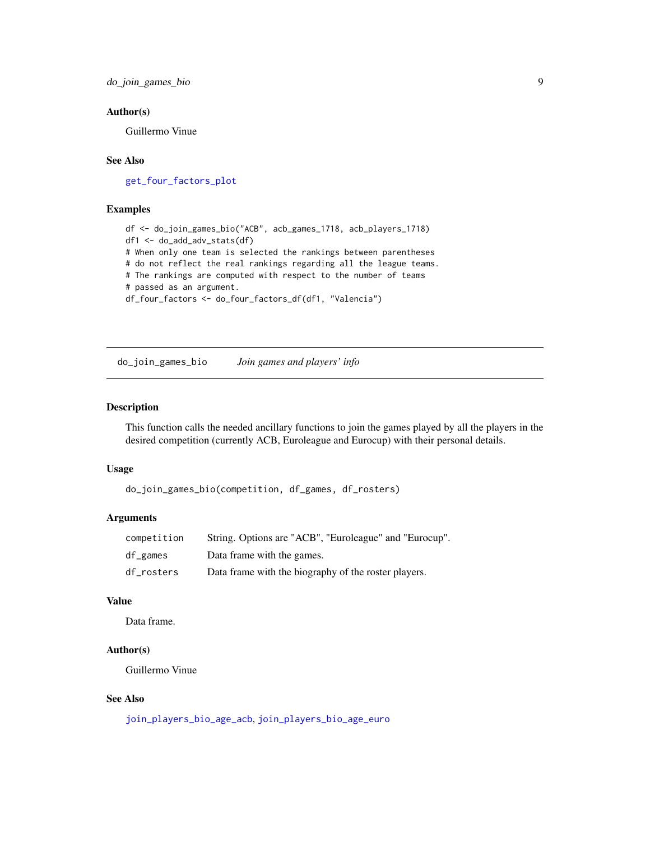<span id="page-8-0"></span>do\_join\_games\_bio 9

#### Author(s)

Guillermo Vinue

### See Also

[get\\_four\\_factors\\_plot](#page-20-1)

### Examples

```
df <- do_join_games_bio("ACB", acb_games_1718, acb_players_1718)
df1 <- do_add_adv_stats(df)
# When only one team is selected the rankings between parentheses
# do not reflect the real rankings regarding all the league teams.
# The rankings are computed with respect to the number of teams
# passed as an argument.
df_four_factors <- do_four_factors_df(df1, "Valencia")
```
<span id="page-8-1"></span>do\_join\_games\_bio *Join games and players' info*

### Description

This function calls the needed ancillary functions to join the games played by all the players in the desired competition (currently ACB, Euroleague and Eurocup) with their personal details.

#### Usage

do\_join\_games\_bio(competition, df\_games, df\_rosters)

#### Arguments

| competition | String. Options are "ACB", "Euroleague" and "Eurocup". |
|-------------|--------------------------------------------------------|
| df_games    | Data frame with the games.                             |
| df rosters  | Data frame with the biography of the roster players.   |

### Value

Data frame.

#### Author(s)

Guillermo Vinue

### See Also

[join\\_players\\_bio\\_age\\_acb](#page-32-1), [join\\_players\\_bio\\_age\\_euro](#page-33-1)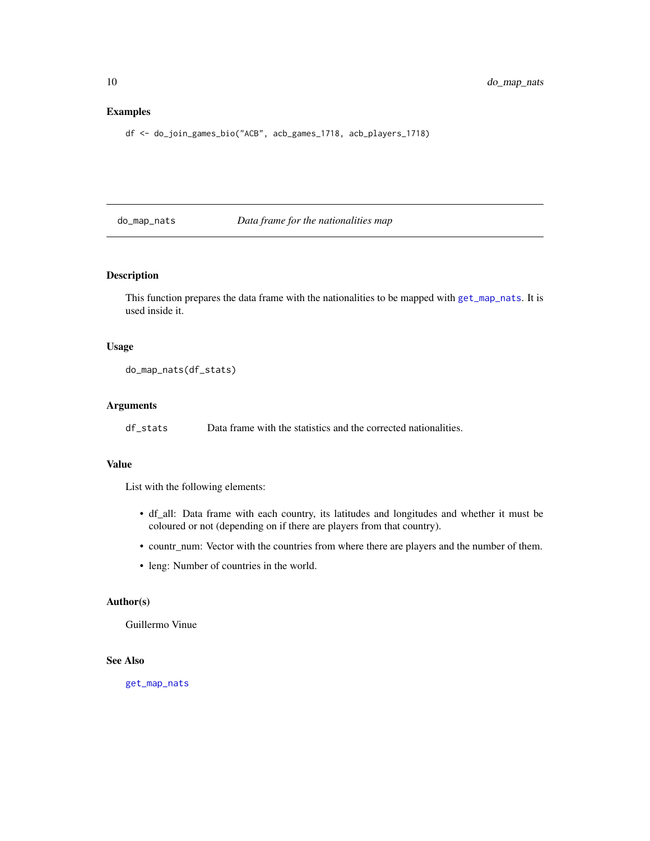### Examples

df <- do\_join\_games\_bio("ACB", acb\_games\_1718, acb\_players\_1718)

#### <span id="page-9-1"></span>do\_map\_nats *Data frame for the nationalities map*

### Description

This function prepares the data frame with the nationalities to be mapped with [get\\_map\\_nats](#page-25-1). It is used inside it.

#### Usage

do\_map\_nats(df\_stats)

#### Arguments

df\_stats Data frame with the statistics and the corrected nationalities.

#### Value

List with the following elements:

- df\_all: Data frame with each country, its latitudes and longitudes and whether it must be coloured or not (depending on if there are players from that country).
- countr\_num: Vector with the countries from where there are players and the number of them.
- leng: Number of countries in the world.

### Author(s)

Guillermo Vinue

### See Also

[get\\_map\\_nats](#page-25-1)

<span id="page-9-0"></span>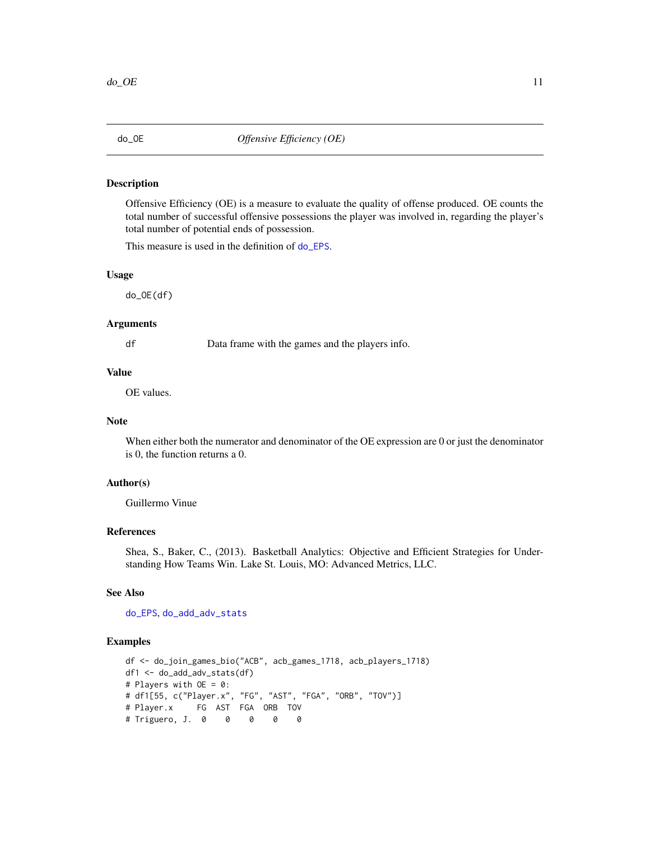<span id="page-10-1"></span><span id="page-10-0"></span>

#### Description

Offensive Efficiency (OE) is a measure to evaluate the quality of offense produced. OE counts the total number of successful offensive possessions the player was involved in, regarding the player's total number of potential ends of possession.

This measure is used in the definition of [do\\_EPS](#page-6-1).

#### Usage

do\_OE(df)

#### Arguments

df Data frame with the games and the players info.

#### Value

OE values.

### Note

When either both the numerator and denominator of the OE expression are 0 or just the denominator is 0, the function returns a 0.

#### Author(s)

Guillermo Vinue

### References

Shea, S., Baker, C., (2013). Basketball Analytics: Objective and Efficient Strategies for Understanding How Teams Win. Lake St. Louis, MO: Advanced Metrics, LLC.

### See Also

[do\\_EPS](#page-6-1), [do\\_add\\_adv\\_stats](#page-5-1)

#### Examples

```
df <- do_join_games_bio("ACB", acb_games_1718, acb_players_1718)
df1 <- do_add_adv_stats(df)
# Players with OE = 0:
# df1[55, c("Player.x", "FG", "AST", "FGA", "ORB", "TOV")]
# Player.x FG AST FGA ORB TOV
# Triguero, J. 0 0 0 0 0
```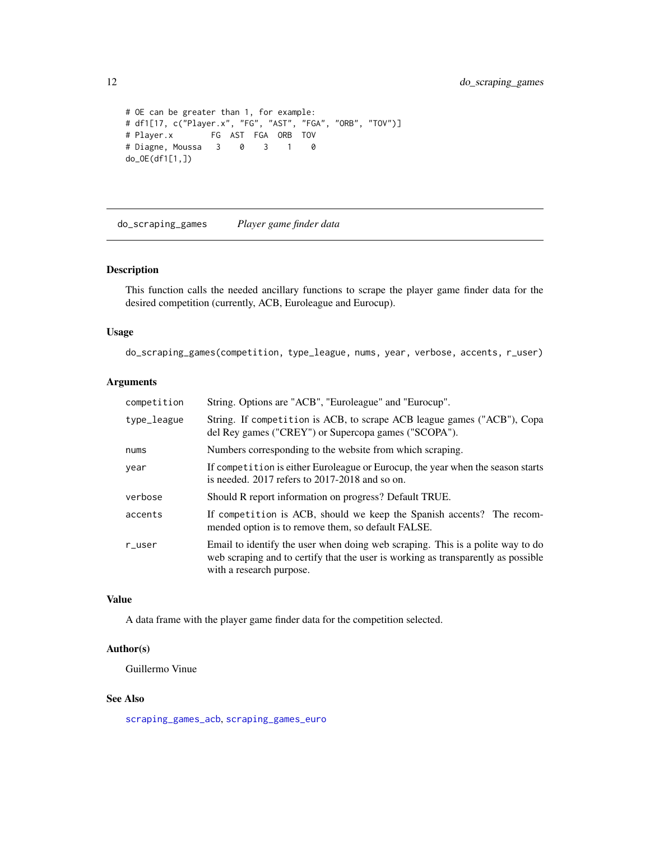```
# OE can be greater than 1, for example:
# df1[17, c("Player.x", "FG", "AST", "FGA", "ORB", "TOV")]
# Player.x FG AST FGA ORB TOV
# Diagne, Moussa 3 0 3 1 0
do_OE(df1[1,])
```
<span id="page-11-1"></span>do\_scraping\_games *Player game finder data*

### Description

This function calls the needed ancillary functions to scrape the player game finder data for the desired competition (currently, ACB, Euroleague and Eurocup).

### Usage

do\_scraping\_games(competition, type\_league, nums, year, verbose, accents, r\_user)

### Arguments

| competition | String. Options are "ACB", "Euroleague" and "Eurocup".                                                                                                                                          |
|-------------|-------------------------------------------------------------------------------------------------------------------------------------------------------------------------------------------------|
| type_league | String. If competition is ACB, to scrape ACB league games ("ACB"), Copa<br>del Rey games ("CREY") or Supercopa games ("SCOPA").                                                                 |
| nums        | Numbers corresponding to the website from which scraping.                                                                                                                                       |
| year        | If competition is either Euroleague or Eurocup, the year when the season starts<br>is needed. $2017$ refers to $2017-2018$ and so on.                                                           |
| verbose     | Should R report information on progress? Default TRUE.                                                                                                                                          |
| accents     | If competition is ACB, should we keep the Spanish accents? The recom-<br>mended option is to remove them, so default FALSE.                                                                     |
| $r$ _user   | Email to identify the user when doing web scraping. This is a polite way to do<br>web scraping and to certify that the user is working as transparently as possible<br>with a research purpose. |

#### Value

A data frame with the player game finder data for the competition selected.

### Author(s)

Guillermo Vinue

### See Also

[scraping\\_games\\_acb](#page-34-1), [scraping\\_games\\_euro](#page-35-1)

<span id="page-11-0"></span>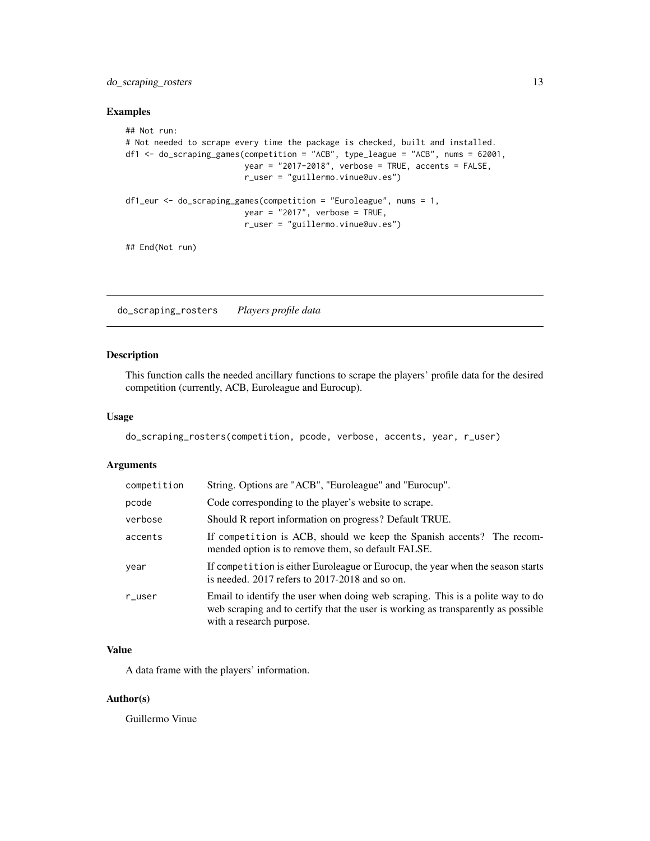<span id="page-12-0"></span>do\_scraping\_rosters 13

### Examples

```
## Not run:
# Not needed to scrape every time the package is checked, built and installed.
df1 <- do_scraping_games(competition = "ACB", type_league = "ACB", nums = 62001,
                         year = "2017-2018", verbose = TRUE, accents = FALSE,
                         r_user = "guillermo.vinue@uv.es")
df1_eur <- do_scraping_games(competition = "Euroleague", nums = 1,
                         year = "2017", verbose = TRUE,
                         r_user = "guillermo.vinue@uv.es")
## End(Not run)
```
<span id="page-12-1"></span>do\_scraping\_rosters *Players profile data*

### Description

This function calls the needed ancillary functions to scrape the players' profile data for the desired competition (currently, ACB, Euroleague and Eurocup).

### Usage

do\_scraping\_rosters(competition, pcode, verbose, accents, year, r\_user)

#### Arguments

| competition | String. Options are "ACB", "Euroleague" and "Eurocup".                                                                                                                                          |
|-------------|-------------------------------------------------------------------------------------------------------------------------------------------------------------------------------------------------|
| pcode       | Code corresponding to the player's website to scrape.                                                                                                                                           |
| verbose     | Should R report information on progress? Default TRUE.                                                                                                                                          |
| accents     | If competition is ACB, should we keep the Spanish accents? The recom-<br>mended option is to remove them, so default FALSE.                                                                     |
| year        | If competition is either Euroleague or Eurocup, the year when the season starts<br>is needed. $2017$ refers to $2017-2018$ and so on.                                                           |
| $r$ _user   | Email to identify the user when doing web scraping. This is a polite way to do<br>web scraping and to certify that the user is working as transparently as possible<br>with a research purpose. |
|             |                                                                                                                                                                                                 |

#### Value

A data frame with the players' information.

### Author(s)

Guillermo Vinue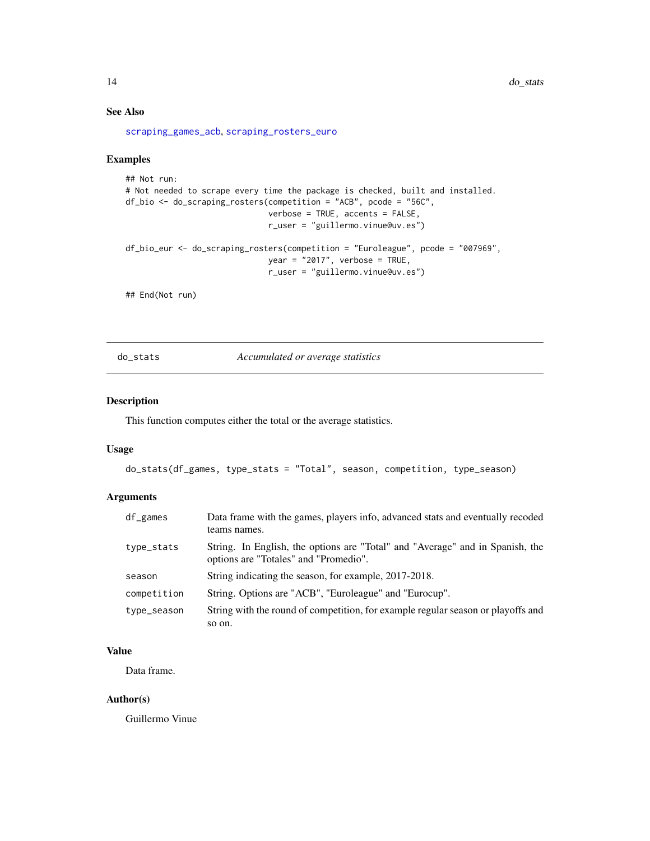### See Also

[scraping\\_games\\_acb](#page-34-1), [scraping\\_rosters\\_euro](#page-38-1)

#### Examples

```
## Not run:
# Not needed to scrape every time the package is checked, built and installed.
df_bio <- do_scraping_rosters(competition = "ACB", pcode = "56C",
                              verbose = TRUE, accents = FALSE,
                              r_user = "guillermo.vinue@uv.es")
df_bio_eur <- do_scraping_rosters(competition = "Euroleague", pcode = "007969",
                              year = "2017", verbose = TRUE,
                              r_user = "guillermo.vinue@uv.es")
```
## End(Not run)

do\_stats *Accumulated or average statistics*

#### Description

This function computes either the total or the average statistics.

#### Usage

```
do_stats(df_games, type_stats = "Total", season, competition, type_season)
```
### Arguments

| df_games    | Data frame with the games, players info, advanced stats and eventually recoded<br>teams names.                         |
|-------------|------------------------------------------------------------------------------------------------------------------------|
| type_stats  | String. In English, the options are "Total" and "Average" and in Spanish, the<br>options are "Totales" and "Promedio". |
| season      | String indicating the season, for example, 2017-2018.                                                                  |
| competition | String. Options are "ACB", "Euroleague" and "Eurocup".                                                                 |
| type_season | String with the round of competition, for example regular season or playoffs and<br>so on.                             |

### Value

Data frame.

#### Author(s)

Guillermo Vinue

<span id="page-13-0"></span>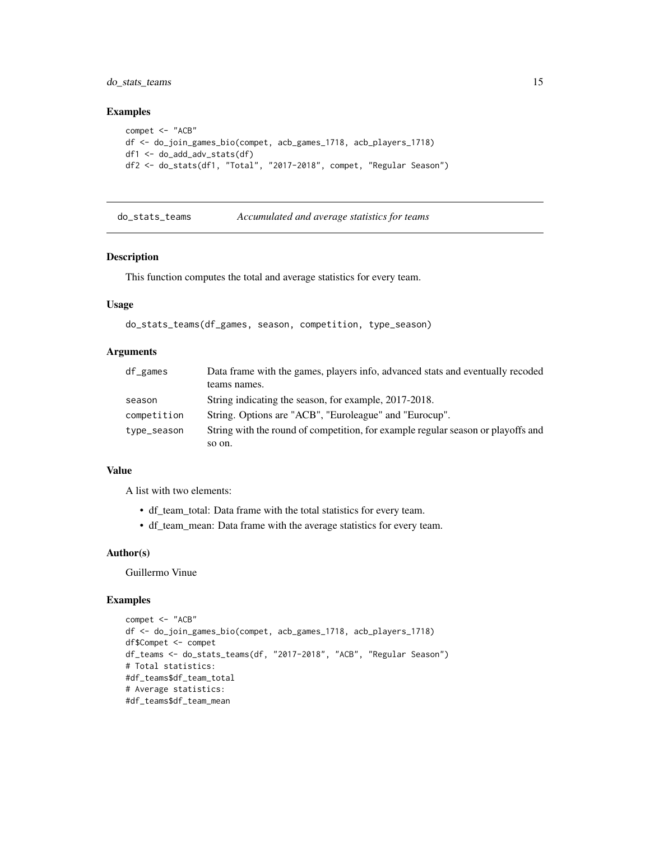### <span id="page-14-0"></span>do\_stats\_teams 15

#### Examples

```
compet <- "ACB"
df <- do_join_games_bio(compet, acb_games_1718, acb_players_1718)
df1 <- do_add_adv_stats(df)
df2 <- do_stats(df1, "Total", "2017-2018", compet, "Regular Season")
```
do\_stats\_teams *Accumulated and average statistics for teams*

### Description

This function computes the total and average statistics for every team.

#### Usage

```
do_stats_teams(df_games, season, competition, type_season)
```
#### Arguments

| $df$ games  | Data frame with the games, players info, advanced stats and eventually recoded   |
|-------------|----------------------------------------------------------------------------------|
|             | teams names.                                                                     |
| season      | String indicating the season, for example, 2017-2018.                            |
| competition | String. Options are "ACB", "Euroleague" and "Eurocup".                           |
| type_season | String with the round of competition, for example regular season or playoffs and |
|             | so on.                                                                           |

#### Value

A list with two elements:

- df\_team\_total: Data frame with the total statistics for every team.
- df\_team\_mean: Data frame with the average statistics for every team.

#### Author(s)

Guillermo Vinue

#### Examples

```
compet <- "ACB"
df <- do_join_games_bio(compet, acb_games_1718, acb_players_1718)
df$Compet <- compet
df_teams <- do_stats_teams(df, "2017-2018", "ACB", "Regular Season")
# Total statistics:
#df_teams$df_team_total
# Average statistics:
#df_teams$df_team_mean
```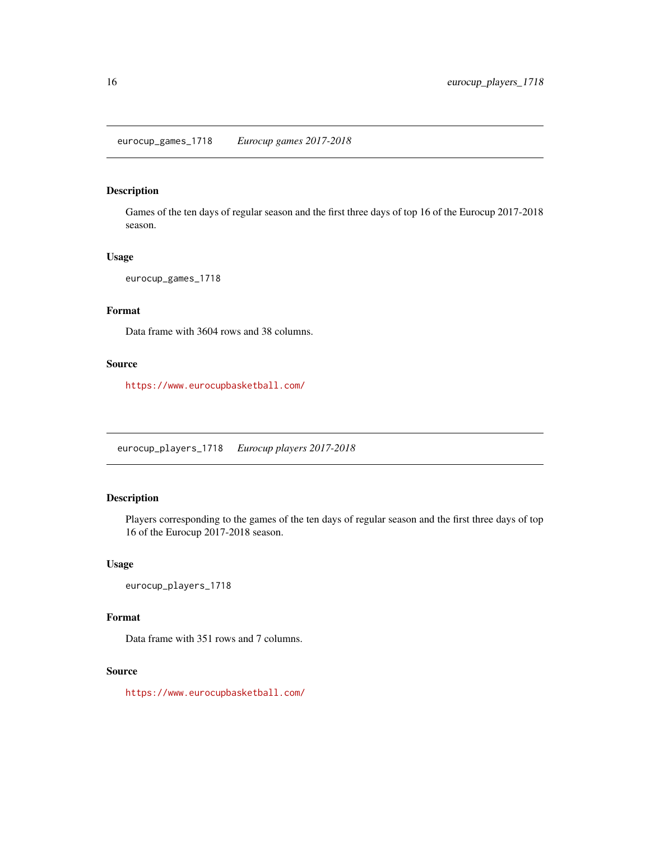### <span id="page-15-0"></span>Description

Games of the ten days of regular season and the first three days of top 16 of the Eurocup 2017-2018 season.

### Usage

```
eurocup_games_1718
```
## Format

Data frame with 3604 rows and 38 columns.

### Source

<https://www.eurocupbasketball.com/>

eurocup\_players\_1718 *Eurocup players 2017-2018*

### Description

Players corresponding to the games of the ten days of regular season and the first three days of top 16 of the Eurocup 2017-2018 season.

#### Usage

eurocup\_players\_1718

### Format

Data frame with 351 rows and 7 columns.

#### Source

<https://www.eurocupbasketball.com/>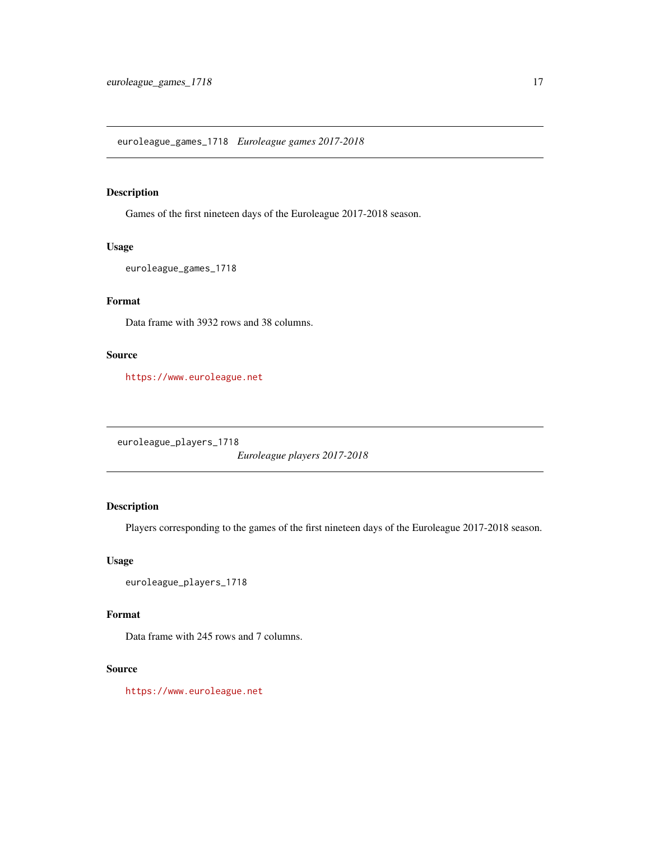<span id="page-16-0"></span>euroleague\_games\_1718 *Euroleague games 2017-2018*

### Description

Games of the first nineteen days of the Euroleague 2017-2018 season.

### Usage

```
euroleague_games_1718
```
### Format

Data frame with 3932 rows and 38 columns.

### Source

<https://www.euroleague.net>

euroleague\_players\_1718

*Euroleague players 2017-2018*

### Description

Players corresponding to the games of the first nineteen days of the Euroleague 2017-2018 season.

### Usage

```
euroleague_players_1718
```
#### Format

Data frame with 245 rows and 7 columns.

#### Source

<https://www.euroleague.net>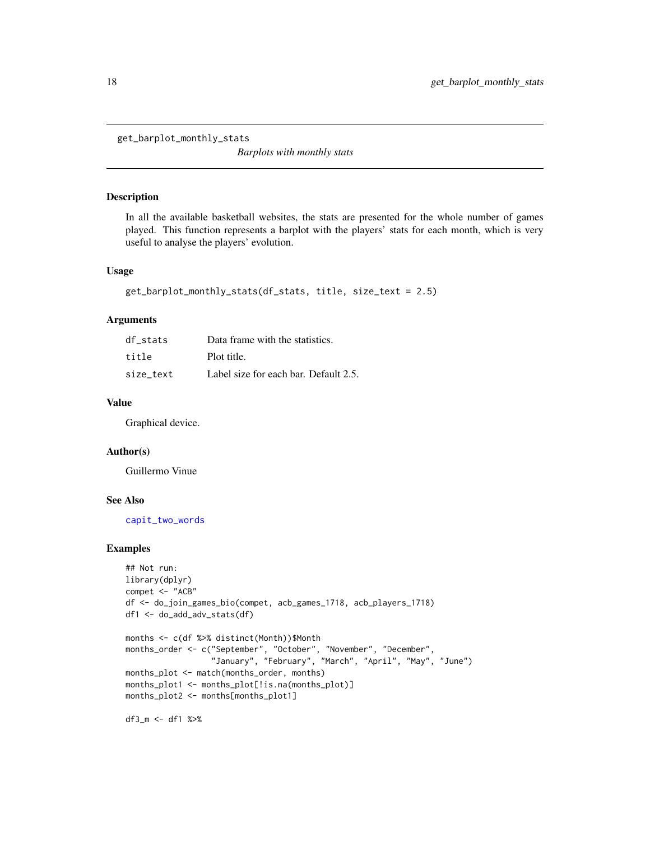<span id="page-17-0"></span>get\_barplot\_monthly\_stats

*Barplots with monthly stats*

#### Description

In all the available basketball websites, the stats are presented for the whole number of games played. This function represents a barplot with the players' stats for each month, which is very useful to analyse the players' evolution.

#### Usage

```
get_barplot_monthly_stats(df_stats, title, size_text = 2.5)
```
#### Arguments

| df stats  | Data frame with the statistics.       |
|-----------|---------------------------------------|
| title     | Plot title.                           |
| size text | Label size for each bar. Default 2.5. |

### Value

Graphical device.

#### Author(s)

Guillermo Vinue

#### See Also

[capit\\_two\\_words](#page-4-1)

#### Examples

```
## Not run:
library(dplyr)
compet <- "ACB"
df <- do_join_games_bio(compet, acb_games_1718, acb_players_1718)
df1 <- do_add_adv_stats(df)
months <- c(df %>% distinct(Month))$Month
months_order <- c("September", "October", "November", "December",
                  "January", "February", "March", "April", "May", "June")
months_plot <- match(months_order, months)
months_plot1 <- months_plot[!is.na(months_plot)]
months_plot2 <- months[months_plot1]
```
df3\_m <- df1 %>%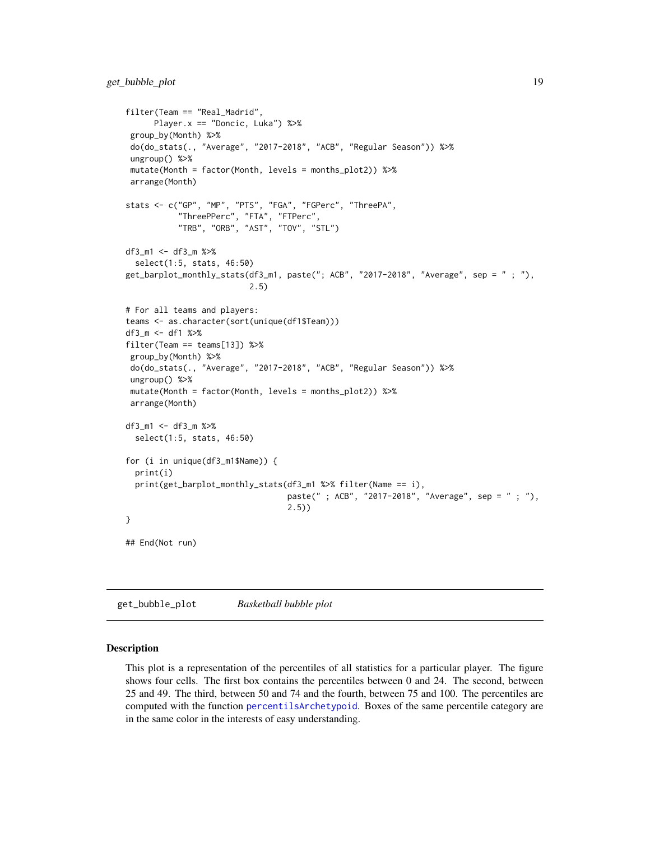```
filter(Team == "Real_Madrid",
     Player.x == "Doncic, Luka") %>%
 group_by(Month) %>%
 do(do_stats(., "Average", "2017-2018", "ACB", "Regular Season")) %>%
ungroup() %>%
mutate(Month = factor(Month, levels = months_plot2)) %>%
arrange(Month)
stats <- c("GP", "MP", "PTS", "FGA", "FGPerc", "ThreePA",
           "ThreePPerc", "FTA", "FTPerc",
           "TRB", "ORB", "AST", "TOV", "STL")
df3_m1 <- df3_m %>%
  select(1:5, stats, 46:50)
get_barplot_monthly_stats(df3_m1, paste("; ACB", "2017-2018", "Average", sep = " ; "),
                          2.5)
# For all teams and players:
teams <- as.character(sort(unique(df1$Team)))
df3_m <- df1 %>%
filter(Team == teams[13]) %>%
group_by(Month) %>%
do(do_stats(., "Average", "2017-2018", "ACB", "Regular Season")) %>%
ungroup() %>%
mutate(Month = factor(Month, levels = months_plot2)) %>%
 arrange(Month)
df3_m1 <- df3_m %>%
 select(1:5, stats, 46:50)
for (i in unique(df3_m1$Name)) {
 print(i)
 print(get_barplot_monthly_stats(df3_m1 %>% filter(Name == i),
                                  paste(" ; ACB", "2017-2018", "Average", sep = " ; "),
                                  2.5))
}
## End(Not run)
```
get\_bubble\_plot *Basketball bubble plot*

#### **Description**

This plot is a representation of the percentiles of all statistics for a particular player. The figure shows four cells. The first box contains the percentiles between 0 and 24. The second, between 25 and 49. The third, between 50 and 74 and the fourth, between 75 and 100. The percentiles are computed with the function [percentilsArchetypoid](#page-0-0). Boxes of the same percentile category are in the same color in the interests of easy understanding.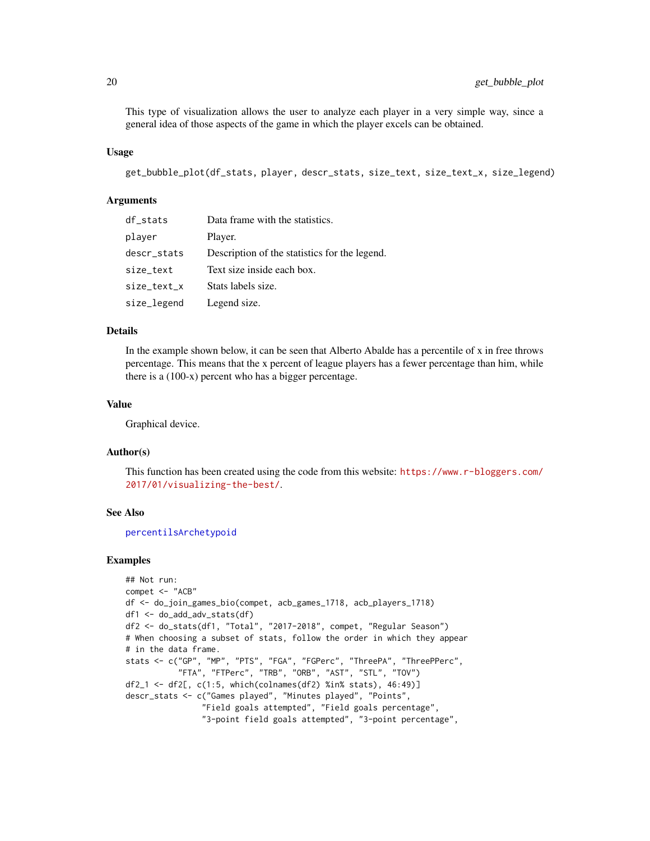<span id="page-19-0"></span>This type of visualization allows the user to analyze each player in a very simple way, since a general idea of those aspects of the game in which the player excels can be obtained.

#### Usage

```
get_bubble_plot(df_stats, player, descr_stats, size_text, size_text_x, size_legend)
```
#### Arguments

| df_stats    | Data frame with the statistics.               |
|-------------|-----------------------------------------------|
| player      | Player.                                       |
| descr_stats | Description of the statistics for the legend. |
| size_text   | Text size inside each box.                    |
| size_text_x | Stats labels size.                            |
| size_legend | Legend size.                                  |

#### Details

In the example shown below, it can be seen that Alberto Abalde has a percentile of x in free throws percentage. This means that the x percent of league players has a fewer percentage than him, while there is a (100-x) percent who has a bigger percentage.

### Value

Graphical device.

#### Author(s)

This function has been created using the code from this website: [https://www.r-bloggers.com/](https://www.r-bloggers.com/2017/01/visualizing-the-best/) [2017/01/visualizing-the-best/](https://www.r-bloggers.com/2017/01/visualizing-the-best/).

#### See Also

[percentilsArchetypoid](#page-0-0)

#### Examples

```
## Not run:
compet <- "ACB"
df <- do_join_games_bio(compet, acb_games_1718, acb_players_1718)
df1 <- do_add_adv_stats(df)
df2 <- do_stats(df1, "Total", "2017-2018", compet, "Regular Season")
# When choosing a subset of stats, follow the order in which they appear
# in the data frame.
stats <- c("GP", "MP", "PTS", "FGA", "FGPerc", "ThreePA", "ThreePPerc",
           "FTA", "FTPerc", "TRB", "ORB", "AST", "STL", "TOV")
df2_1 <- df2[, c(1:5, which(colnames(df2) %in% stats), 46:49)]
descr_stats <- c("Games played", "Minutes played", "Points",
                "Field goals attempted", "Field goals percentage",
                "3-point field goals attempted", "3-point percentage",
```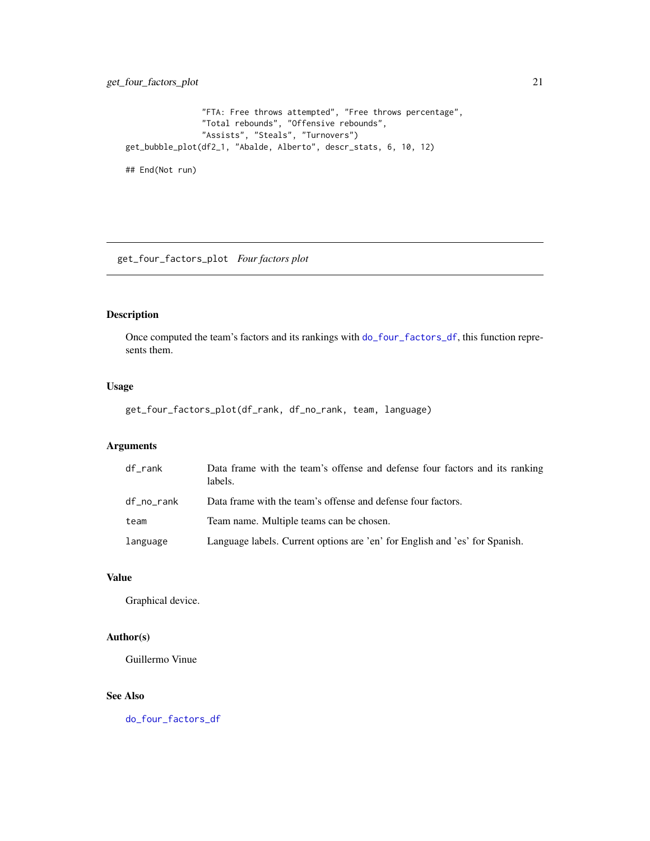```
"FTA: Free throws attempted", "Free throws percentage",
                "Total rebounds", "Offensive rebounds",
                "Assists", "Steals", "Turnovers")
get_bubble_plot(df2_1, "Abalde, Alberto", descr_stats, 6, 10, 12)
```
## End(Not run)

<span id="page-20-1"></span>get\_four\_factors\_plot *Four factors plot*

### Description

Once computed the team's factors and its rankings with [do\\_four\\_factors\\_df](#page-7-1), this function represents them.

### Usage

get\_four\_factors\_plot(df\_rank, df\_no\_rank, team, language)

### Arguments

| df_rank    | Data frame with the team's offense and defense four factors and its ranking<br>labels. |
|------------|----------------------------------------------------------------------------------------|
| df_no_rank | Data frame with the team's offense and defense four factors.                           |
| team       | Team name. Multiple teams can be chosen.                                               |
| language   | Language labels. Current options are 'en' for English and 'es' for Spanish.            |

#### Value

Graphical device.

### Author(s)

Guillermo Vinue

### See Also

[do\\_four\\_factors\\_df](#page-7-1)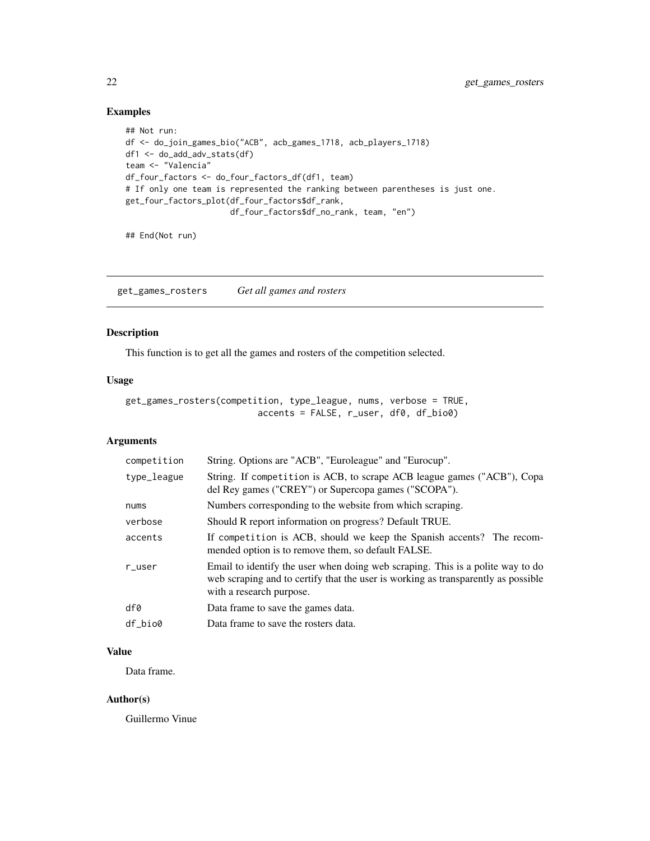### <span id="page-21-0"></span>Examples

```
## Not run:
df <- do_join_games_bio("ACB", acb_games_1718, acb_players_1718)
df1 <- do_add_adv_stats(df)
team <- "Valencia"
df_four_factors <- do_four_factors_df(df1, team)
# If only one team is represented the ranking between parentheses is just one.
get_four_factors_plot(df_four_factors$df_rank,
                      df_four_factors$df_no_rank, team, "en")
```
## End(Not run)

<span id="page-21-1"></span>get\_games\_rosters *Get all games and rosters*

### Description

This function is to get all the games and rosters of the competition selected.

### Usage

```
get_games_rosters(competition, type_league, nums, verbose = TRUE,
                         accents = FALSE, r_user, df0, df_bio0)
```
### Arguments

| competition | String. Options are "ACB", "Euroleague" and "Eurocup".                                                                                                                                          |
|-------------|-------------------------------------------------------------------------------------------------------------------------------------------------------------------------------------------------|
| type_league | String. If competition is ACB, to scrape ACB league games ("ACB"), Copa<br>del Rey games ("CREY") or Supercopa games ("SCOPA").                                                                 |
| nums        | Numbers corresponding to the website from which scraping.                                                                                                                                       |
| verbose     | Should R report information on progress? Default TRUE.                                                                                                                                          |
| accents     | If competition is ACB, should we keep the Spanish accents? The recom-<br>mended option is to remove them, so default FALSE.                                                                     |
| $r$ _user   | Email to identify the user when doing web scraping. This is a polite way to do<br>web scraping and to certify that the user is working as transparently as possible<br>with a research purpose. |
| df0         | Data frame to save the games data.                                                                                                                                                              |
| df bio0     | Data frame to save the rosters data.                                                                                                                                                            |

### Value

Data frame.

#### Author(s)

Guillermo Vinue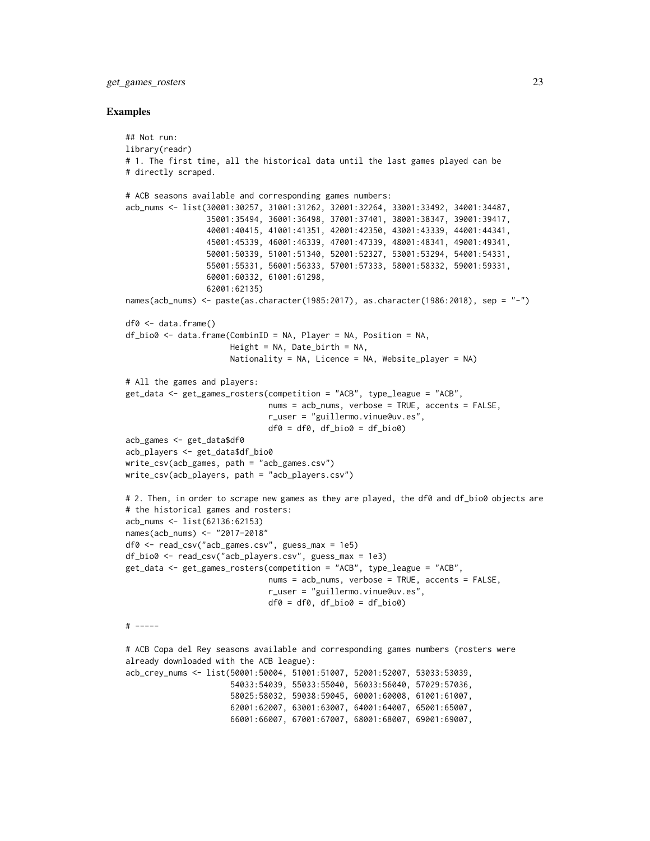#### get\_games\_rosters 23

#### Examples

```
## Not run:
library(readr)
# 1. The first time, all the historical data until the last games played can be
# directly scraped.
# ACB seasons available and corresponding games numbers:
acb_nums <- list(30001:30257, 31001:31262, 32001:32264, 33001:33492, 34001:34487,
                 35001:35494, 36001:36498, 37001:37401, 38001:38347, 39001:39417,
                 40001:40415, 41001:41351, 42001:42350, 43001:43339, 44001:44341,
                 45001:45339, 46001:46339, 47001:47339, 48001:48341, 49001:49341,
                 50001:50339, 51001:51340, 52001:52327, 53001:53294, 54001:54331,
                 55001:55331, 56001:56333, 57001:57333, 58001:58332, 59001:59331,
                 60001:60332, 61001:61298,
                 62001:62135)
names(acb_nums) <- paste(as.character(1985:2017), as.character(1986:2018), sep = "-")
df0 <- data.frame()
df_bio0 <- data.frame(CombinID = NA, Player = NA, Position = NA,
                      Height = NA, Date_birth = NA,
                      Nationality = NA, Licence = NA, Website_player = NA)
# All the games and players:
get_data <- get_games_rosters(competition = "ACB", type_league = "ACB",
                              nums = acb_nums, verbose = TRUE, accents = FALSE,
                              r_user = "guillermo.vinue@uv.es",
                              df0 = df0, df_bio0 = df_bio0acb_games <- get_data$df0
acb_players <- get_data$df_bio0
write_csv(acb_games, path = "acb_games.csv")
write_csv(acb_players, path = "acb_players.csv")
# 2. Then, in order to scrape new games as they are played, the df0 and df_bio0 objects are
# the historical games and rosters:
acb_nums <- list(62136:62153)
names(acb_nums) <- "2017-2018"
df0 <- read_csv("acb_games.csv", guess_max = 1e5)
df_bio0 <- read_csv("acb_players.csv", guess_max = 1e3)
get_data <- get_games_rosters(competition = "ACB", type_league = "ACB",
                              nums = acb_nums, verbose = TRUE, accents = FALSE,
                              r_user = "guillermo.vinue@uv.es",
                              df0 = df0, df_bio0 = df_bio0# -----
# ACB Copa del Rey seasons available and corresponding games numbers (rosters were
already downloaded with the ACB league):
acb_crey_nums <- list(50001:50004, 51001:51007, 52001:52007, 53033:53039,
                      54033:54039, 55033:55040, 56033:56040, 57029:57036,
                      58025:58032, 59038:59045, 60001:60008, 61001:61007,
                      62001:62007, 63001:63007, 64001:64007, 65001:65007,
                      66001:66007, 67001:67007, 68001:68007, 69001:69007,
```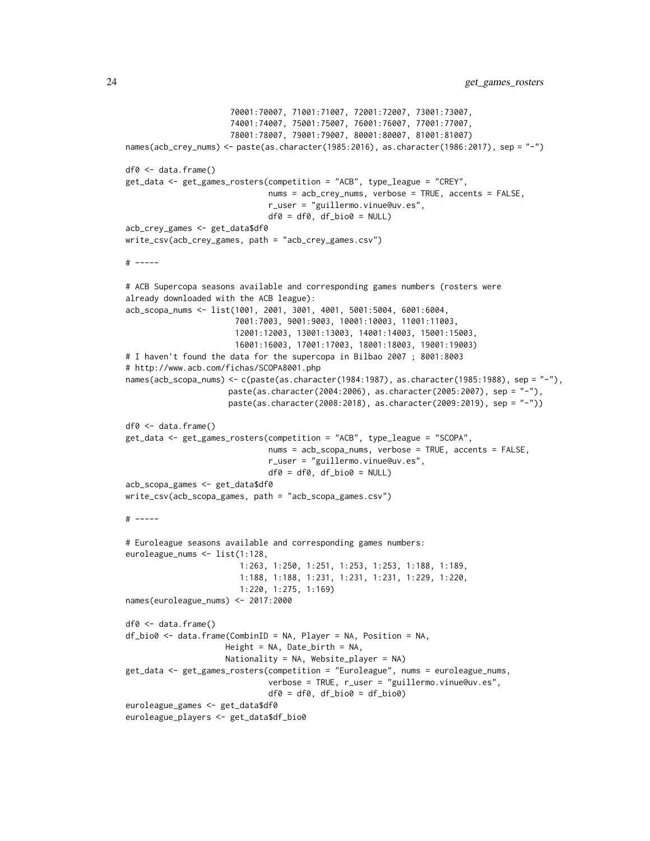```
70001:70007, 71001:71007, 72001:72007, 73001:73007,
                      74001:74007, 75001:75007, 76001:76007, 77001:77007,
                      78001:78007, 79001:79007, 80001:80007, 81001:81007)
names(acb_crey_nums) <- paste(as.character(1985:2016), as.character(1986:2017), sep = "-")
df0 <- data.frame()
get_data <- get_games_rosters(competition = "ACB", type_league = "CREY",
                              nums = acb_crey_nums, verbose = TRUE, accents = FALSE,
                              r_user = "guillermo.vinue@uv.es",
                              df0 = df0, df_bio0 = NULLacb_crey_games <- get_data$df0
write_csv(acb_crey_games, path = "acb_crey_games.csv")
# -----
# ACB Supercopa seasons available and corresponding games numbers (rosters were
already downloaded with the ACB league):
acb_scopa_nums <- list(1001, 2001, 3001, 4001, 5001:5004, 6001:6004,
                       7001:7003, 9001:9003, 10001:10003, 11001:11003,
                       12001:12003, 13001:13003, 14001:14003, 15001:15003,
                       16001:16003, 17001:17003, 18001:18003, 19001:19003)
# I haven't found the data for the supercopa in Bilbao 2007 ; 8001:8003
# http://www.acb.com/fichas/SCOPA8001.php
names(acb_scopa_nums) <- c(paste(as.character(1984:1987), as.character(1985:1988), sep = "-"),
                     paste(as.character(2004:2006), as.character(2005:2007), sep = "-"),
                     paste(as.character(2008:2018), as.character(2009:2019), sep = "-"))
df0 <- data.frame()
get_data <- get_games_rosters(competition = "ACB", type_league = "SCOPA",
                              nums = acb_scopa_nums, verbose = TRUE, accents = FALSE,
                              r_user = "guillermo.vinue@uv.es",
                              df0 = df0, df_bio0 = NULLacb_scopa_games <- get_data$df0
write_csv(acb_scopa_games, path = "acb_scopa_games.csv")
# -----
# Euroleague seasons available and corresponding games numbers:
euroleague_nums <- list(1:128,
                        1:263, 1:250, 1:251, 1:253, 1:253, 1:188, 1:189,
                        1:188, 1:188, 1:231, 1:231, 1:231, 1:229, 1:220,
                        1:220, 1:275, 1:169)
names(euroleague_nums) <- 2017:2000
df0 <- data.frame()
df_bio0 <- data.frame(CombinID = NA, Player = NA, Position = NA,
                     Height = NA, Date_birth = NA,
                     Nationality = NA, Website_player = NA)
get_data <- get_games_rosters(competition = "Euroleague", nums = euroleague_nums,
                              verbose = TRUE, r_user = "guillermo.vinue@uv.es",
                              df0 = df0, df_bio0 = df_bio0euroleague_games <- get_data$df0
euroleague_players <- get_data$df_bio0
```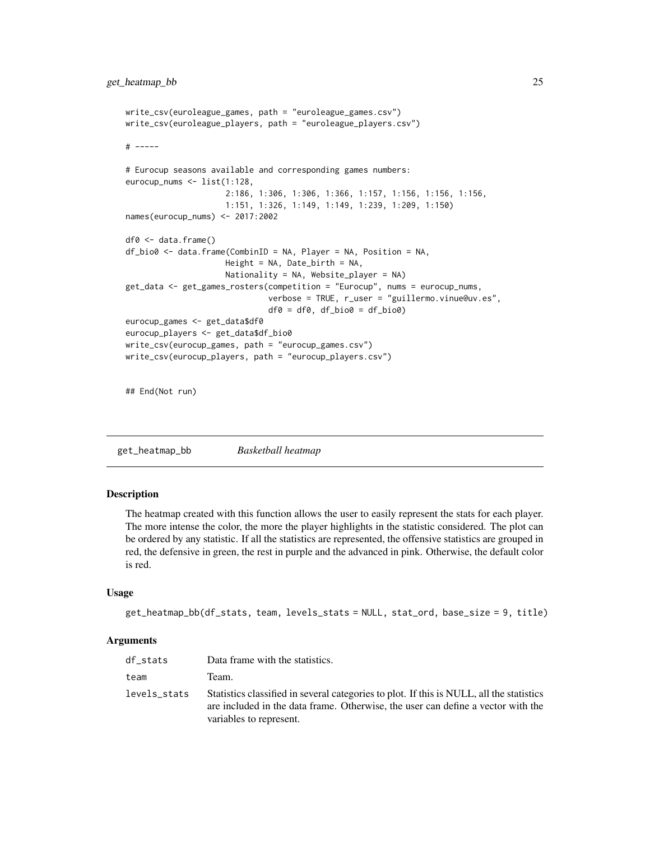```
write_csv(euroleague_games, path = "euroleague_games.csv")
write_csv(euroleague_players, path = "euroleague_players.csv")
# -----
# Eurocup seasons available and corresponding games numbers:
eurocup_nums <- list(1:128,
                     2:186, 1:306, 1:306, 1:366, 1:157, 1:156, 1:156, 1:156,
                     1:151, 1:326, 1:149, 1:149, 1:239, 1:209, 1:150)
names(eurocup_nums) <- 2017:2002
df0 <- data.frame()
df_bio0 <- data.frame(CombinID = NA, Player = NA, Position = NA,
                     Height = NA, Date_birth = NA,
                     Nationality = NA, Website_player = NA)
get_data <- get_games_rosters(competition = "Eurocup", nums = eurocup_nums,
                              verbose = TRUE, r_user = "guillermo.vinue@uv.es",
                              df0 = df0, df_bio0 = df_bio0eurocup_games <- get_data$df0
eurocup_players <- get_data$df_bio0
write_csv(eurocup_games, path = "eurocup_games.csv")
write_csv(eurocup_players, path = "eurocup_players.csv")
## End(Not run)
```
get\_heatmap\_bb *Basketball heatmap*

### Description

The heatmap created with this function allows the user to easily represent the stats for each player. The more intense the color, the more the player highlights in the statistic considered. The plot can be ordered by any statistic. If all the statistics are represented, the offensive statistics are grouped in red, the defensive in green, the rest in purple and the advanced in pink. Otherwise, the default color is red.

#### Usage

```
get_heatmap_bb(df_stats, team, levels_stats = NULL, stat_ord, base_size = 9, title)
```
### Arguments

| df stats     | Data frame with the statistics.                                                                                                                                                                         |
|--------------|---------------------------------------------------------------------------------------------------------------------------------------------------------------------------------------------------------|
| team         | Team.                                                                                                                                                                                                   |
| levels stats | Statistics classified in several categories to plot. If this is NULL, all the statistics<br>are included in the data frame. Otherwise, the user can define a vector with the<br>variables to represent. |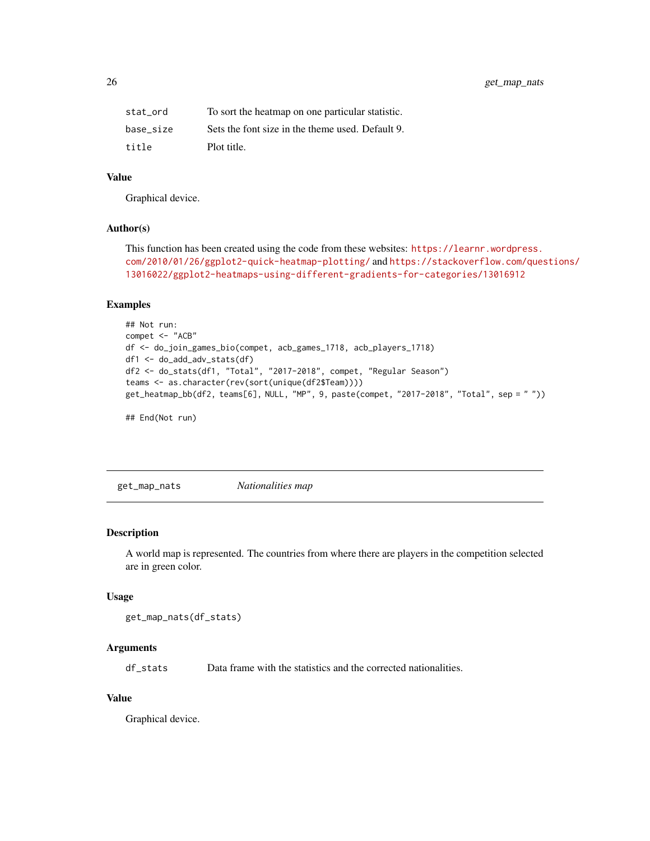<span id="page-25-0"></span>

| stat ord  | To sort the heatmap on one particular statistic. |
|-----------|--------------------------------------------------|
| base size | Sets the font size in the theme used. Default 9. |
| title     | Plot title.                                      |

### Value

Graphical device.

#### Author(s)

```
This function has been created using the code from these websites: https://learnr.wordpress.
com/2010/01/26/ggplot2-quick-heatmap-plotting/ and https://stackoverflow.com/questions/
13016022/ggplot2-heatmaps-using-different-gradients-for-categories/13016912
```
### Examples

```
## Not run:
compet <- "ACB"
df <- do_join_games_bio(compet, acb_games_1718, acb_players_1718)
df1 <- do_add_adv_stats(df)
df2 <- do_stats(df1, "Total", "2017-2018", compet, "Regular Season")
teams <- as.character(rev(sort(unique(df2$Team))))
get_heatmap_bb(df2, teams[6], NULL, "MP", 9, paste(compet, "2017-2018", "Total", sep = " "))
```
## End(Not run)

<span id="page-25-1"></span>get\_map\_nats *Nationalities map*

### Description

A world map is represented. The countries from where there are players in the competition selected are in green color.

#### Usage

```
get_map_nats(df_stats)
```
### Arguments

df\_stats Data frame with the statistics and the corrected nationalities.

#### Value

Graphical device.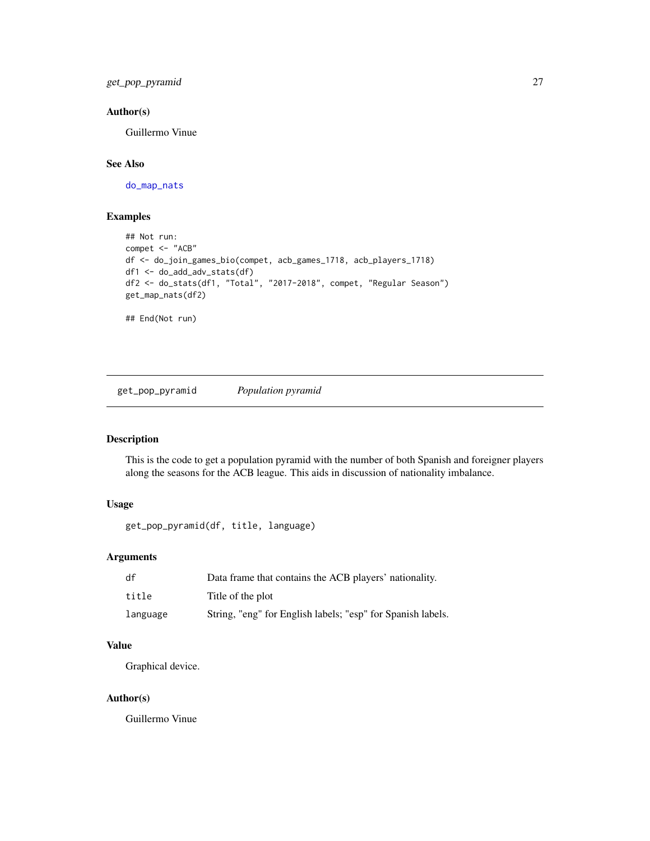<span id="page-26-0"></span>get\_pop\_pyramid 27

### Author(s)

Guillermo Vinue

## See Also

[do\\_map\\_nats](#page-9-1)

### Examples

```
## Not run:
compet <- "ACB"
df <- do_join_games_bio(compet, acb_games_1718, acb_players_1718)
df1 <- do_add_adv_stats(df)
df2 <- do_stats(df1, "Total", "2017-2018", compet, "Regular Season")
get_map_nats(df2)
## End(Not run)
```
get\_pop\_pyramid *Population pyramid*

### Description

This is the code to get a population pyramid with the number of both Spanish and foreigner players along the seasons for the ACB league. This aids in discussion of nationality imbalance.

### Usage

```
get_pop_pyramid(df, title, language)
```
### Arguments

| df       | Data frame that contains the ACB players' nationality.      |
|----------|-------------------------------------------------------------|
| title    | Title of the plot                                           |
| language | String, "eng" for English labels; "esp" for Spanish labels. |

### Value

Graphical device.

#### Author(s)

Guillermo Vinue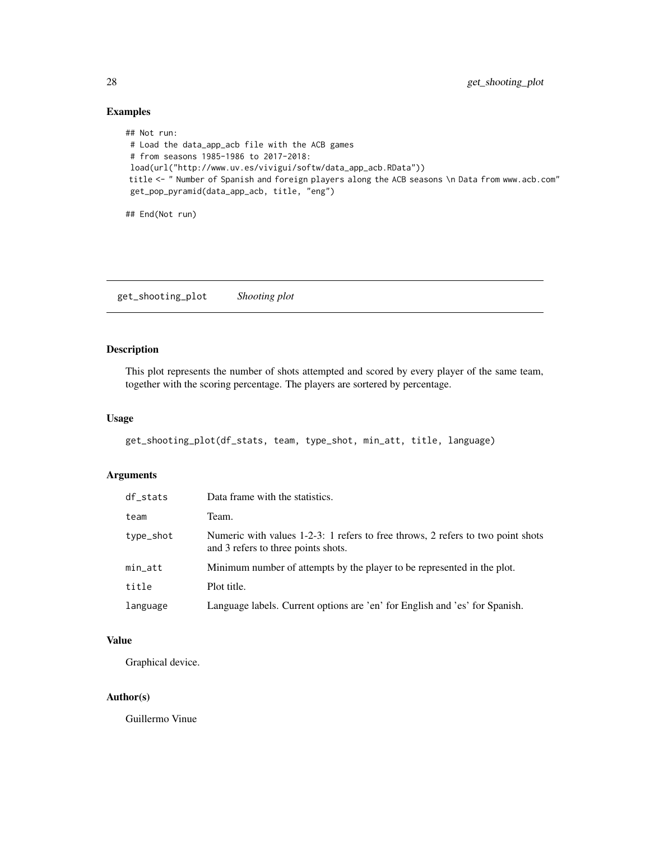### <span id="page-27-0"></span>Examples

```
## Not run:
# Load the data_app_acb file with the ACB games
# from seasons 1985-1986 to 2017-2018:
load(url("http://www.uv.es/vivigui/softw/data_app_acb.RData"))
title <- " Number of Spanish and foreign players along the ACB seasons \n Data from www.acb.com"
get_pop_pyramid(data_app_acb, title, "eng")
```
## End(Not run)

get\_shooting\_plot *Shooting plot*

### Description

This plot represents the number of shots attempted and scored by every player of the same team, together with the scoring percentage. The players are sortered by percentage.

#### Usage

get\_shooting\_plot(df\_stats, team, type\_shot, min\_att, title, language)

### Arguments

| df_stats  | Data frame with the statistics.                                                                                        |
|-----------|------------------------------------------------------------------------------------------------------------------------|
| team      | Team.                                                                                                                  |
| type_shot | Numeric with values 1-2-3: 1 refers to free throws, 2 refers to two point shots<br>and 3 refers to three points shots. |
| min_att   | Minimum number of attempts by the player to be represented in the plot.                                                |
| title     | Plot title.                                                                                                            |
| language  | Language labels. Current options are 'en' for English and 'es' for Spanish.                                            |

### Value

Graphical device.

### Author(s)

Guillermo Vinue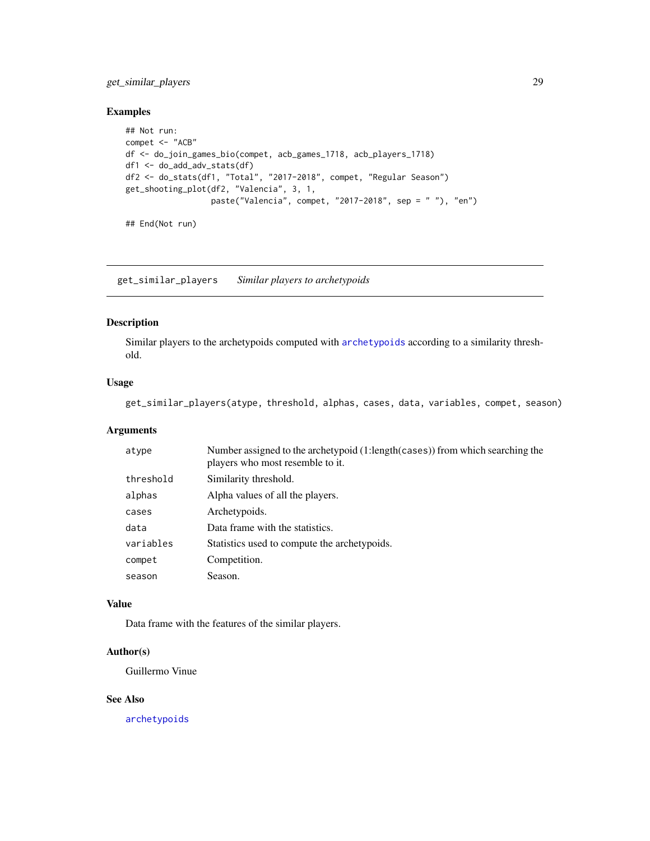### <span id="page-28-0"></span>get\_similar\_players 29

### Examples

```
## Not run:
compet <- "ACB"
df <- do_join_games_bio(compet, acb_games_1718, acb_players_1718)
df1 <- do_add_adv_stats(df)
df2 <- do_stats(df1, "Total", "2017-2018", compet, "Regular Season")
get_shooting_plot(df2, "Valencia", 3, 1,
                  paste("Valencia", compet, "2017-2018", sep = " "), "en")
```

```
## End(Not run)
```
get\_similar\_players *Similar players to archetypoids*

### Description

Similar players to the archetypoids computed with [archetypoids](#page-0-0) according to a similarity threshold.

### Usage

get\_similar\_players(atype, threshold, alphas, cases, data, variables, compet, season)

#### Arguments

| atype     | Number assigned to the archetypoid (1:length (cases)) from which searching the<br>players who most resemble to it. |
|-----------|--------------------------------------------------------------------------------------------------------------------|
| threshold | Similarity threshold.                                                                                              |
| alphas    | Alpha values of all the players.                                                                                   |
| cases     | Archetypoids.                                                                                                      |
| data      | Data frame with the statistics.                                                                                    |
| variables | Statistics used to compute the archetypoids.                                                                       |
| compet    | Competition.                                                                                                       |
| season    | Season.                                                                                                            |

#### Value

Data frame with the features of the similar players.

### Author(s)

Guillermo Vinue

### See Also

[archetypoids](#page-0-0)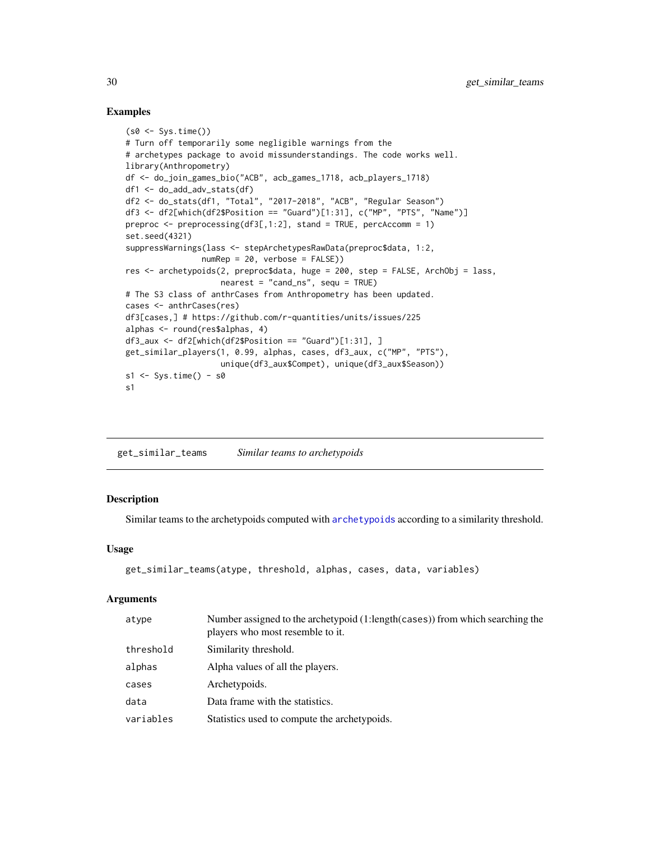#### Examples

```
(s0 \leq Sys.time()# Turn off temporarily some negligible warnings from the
# archetypes package to avoid missunderstandings. The code works well.
library(Anthropometry)
df <- do_join_games_bio("ACB", acb_games_1718, acb_players_1718)
df1 <- do_add_adv_stats(df)
df2 <- do_stats(df1, "Total", "2017-2018", "ACB", "Regular Season")
df3 <- df2[which(df2$Position == "Guard")[1:31], c("MP", "PTS", "Name")]
preproc \leq preprocessing(df3[,1:2], stand = TRUE, percAccomm = 1)
set.seed(4321)
suppressWarnings(lass <- stepArchetypesRawData(preproc$data, 1:2,
                numRep = 20, verbose = FALSE))
res <- archetypoids(2, preproc$data, huge = 200, step = FALSE, ArchObj = lass,
                    nearest = "cand_ns", sequ = TRUE)# The S3 class of anthrCases from Anthropometry has been updated.
cases <- anthrCases(res)
df3[cases,] # https://github.com/r-quantities/units/issues/225
alphas <- round(res$alphas, 4)
df3_aux <- df2[which(df2$Position == "Guard")[1:31], ]
get_similar_players(1, 0.99, alphas, cases, df3_aux, c("MP", "PTS"),
                    unique(df3_aux$Compet), unique(df3_aux$Season))
s1 \leq Sys.time() - s0
s1
```
get\_similar\_teams *Similar teams to archetypoids*

#### **Description**

Similar teams to the archetypoids computed with [archetypoids](#page-0-0) according to a similarity threshold.

#### Usage

```
get_similar_teams(atype, threshold, alphas, cases, data, variables)
```
#### Arguments

| atype     | Number assigned to the archetypoid (1:length (cases)) from which searching the<br>players who most resemble to it. |
|-----------|--------------------------------------------------------------------------------------------------------------------|
| threshold | Similarity threshold.                                                                                              |
| alphas    | Alpha values of all the players.                                                                                   |
| cases     | Archetypoids.                                                                                                      |
| data      | Data frame with the statistics.                                                                                    |
| variables | Statistics used to compute the archetypoids.                                                                       |

<span id="page-29-0"></span>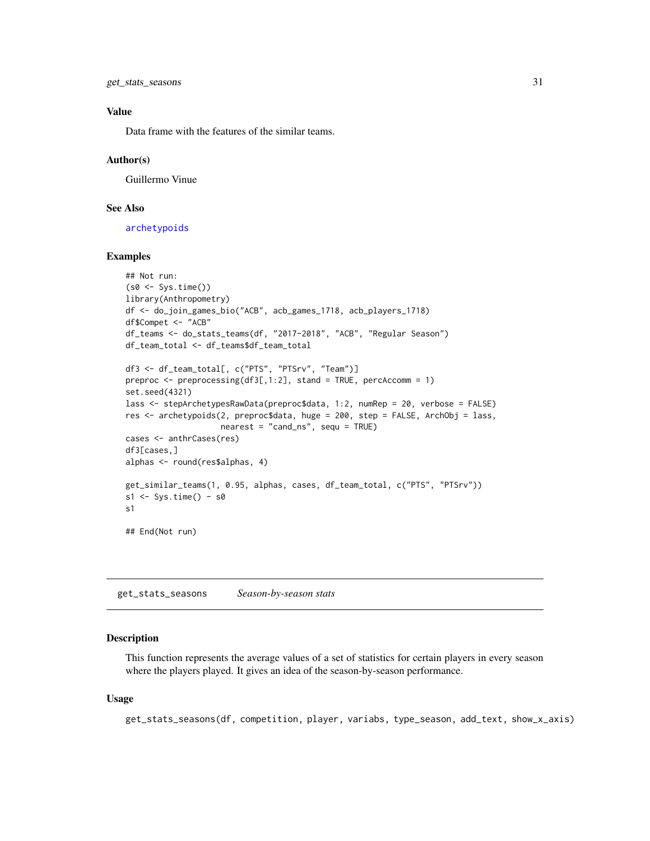<span id="page-30-0"></span>get\_stats\_seasons 31

### Value

Data frame with the features of the similar teams.

#### Author(s)

Guillermo Vinue

### See Also

[archetypoids](#page-0-0)

### Examples

```
## Not run:
(s0 <- Sys.time())
library(Anthropometry)
df <- do_join_games_bio("ACB", acb_games_1718, acb_players_1718)
df$Compet <- "ACB"
df_teams <- do_stats_teams(df, "2017-2018", "ACB", "Regular Season")
df_team_total <- df_teams$df_team_total
df3 <- df_team_total[, c("PTS", "PTSrv", "Team")]
preproc <- preprocessing(df3[,1:2], stand = TRUE, percAccomm = 1)
set.seed(4321)
lass <- stepArchetypesRawData(preproc$data, 1:2, numRep = 20, verbose = FALSE)
res <- archetypoids(2, preproc$data, huge = 200, step = FALSE, ArchObj = lass,
                    nearest = "cand_ns", sequ = TRUE)
cases <- anthrCases(res)
df3[cases,]
alphas <- round(res$alphas, 4)
get_similar_teams(1, 0.95, alphas, cases, df_team_total, c("PTS", "PTSrv"))
s1 \leftarrow Sys.time() - s0s1
## End(Not run)
```
get\_stats\_seasons *Season-by-season stats*

#### Description

This function represents the average values of a set of statistics for certain players in every season where the players played. It gives an idea of the season-by-season performance.

#### Usage

get\_stats\_seasons(df, competition, player, variabs, type\_season, add\_text, show\_x\_axis)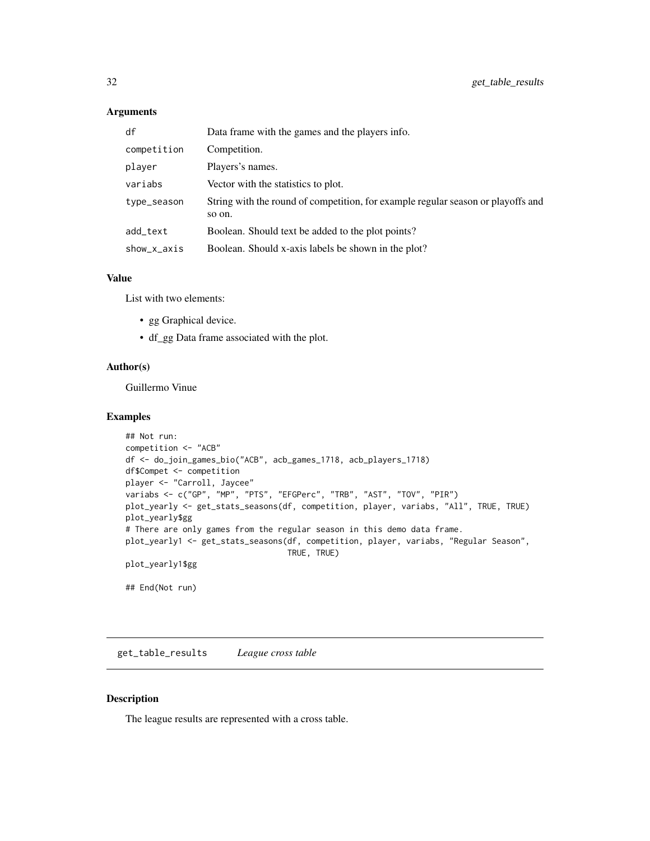### <span id="page-31-0"></span>Arguments

| df          | Data frame with the games and the players info.                                            |
|-------------|--------------------------------------------------------------------------------------------|
| competition | Competition.                                                                               |
| player      | Players's names.                                                                           |
| variabs     | Vector with the statistics to plot.                                                        |
| type_season | String with the round of competition, for example regular season or playoffs and<br>so on. |
| add_text    | Boolean. Should text be added to the plot points?                                          |
| show_x_axis | Boolean. Should x-axis labels be shown in the plot?                                        |

#### Value

List with two elements:

- gg Graphical device.
- df\_gg Data frame associated with the plot.

### Author(s)

Guillermo Vinue

#### Examples

```
## Not run:
competition <- "ACB"
df <- do_join_games_bio("ACB", acb_games_1718, acb_players_1718)
df$Compet <- competition
player <- "Carroll, Jaycee"
variabs <- c("GP", "MP", "PTS", "EFGPerc", "TRB", "AST", "TOV", "PIR")
plot_yearly <- get_stats_seasons(df, competition, player, variabs, "All", TRUE, TRUE)
plot_yearly$gg
# There are only games from the regular season in this demo data frame.
plot_yearly1 <- get_stats_seasons(df, competition, player, variabs, "Regular Season",
                                  TRUE, TRUE)
plot_yearly1$gg
## End(Not run)
```
get\_table\_results *League cross table*

### Description

The league results are represented with a cross table.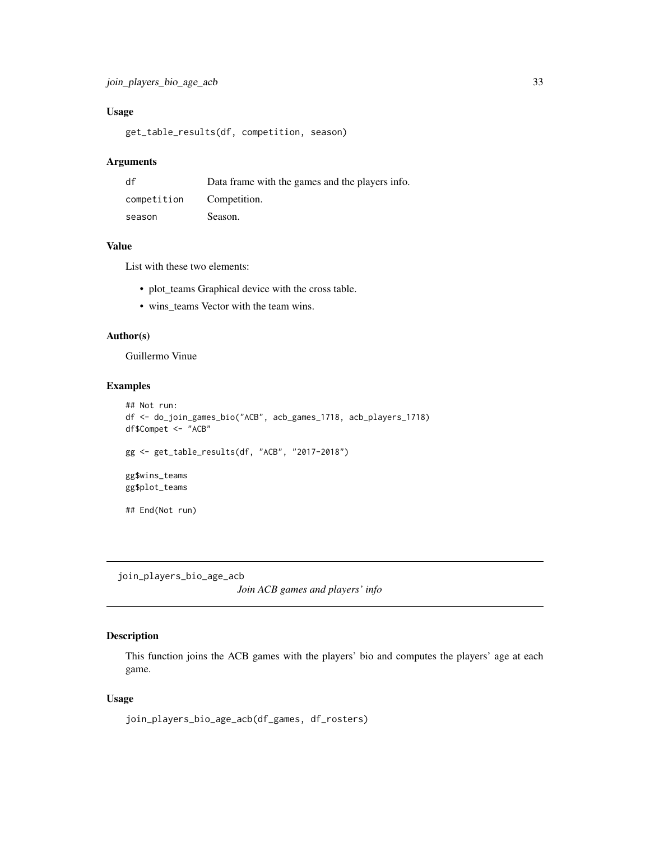### <span id="page-32-0"></span>Usage

get\_table\_results(df, competition, season)

#### Arguments

| df          | Data frame with the games and the players info. |
|-------------|-------------------------------------------------|
| competition | Competition.                                    |
| season      | Season.                                         |

### Value

List with these two elements:

- plot\_teams Graphical device with the cross table.
- wins\_teams Vector with the team wins.

#### Author(s)

Guillermo Vinue

### Examples

```
## Not run:
df <- do_join_games_bio("ACB", acb_games_1718, acb_players_1718)
df$Compet <- "ACB"
gg <- get_table_results(df, "ACB", "2017-2018")
gg$wins_teams
gg$plot_teams
## End(Not run)
```
<span id="page-32-1"></span>join\_players\_bio\_age\_acb

*Join ACB games and players' info*

### Description

This function joins the ACB games with the players' bio and computes the players' age at each game.

### Usage

```
join_players_bio_age_acb(df_games, df_rosters)
```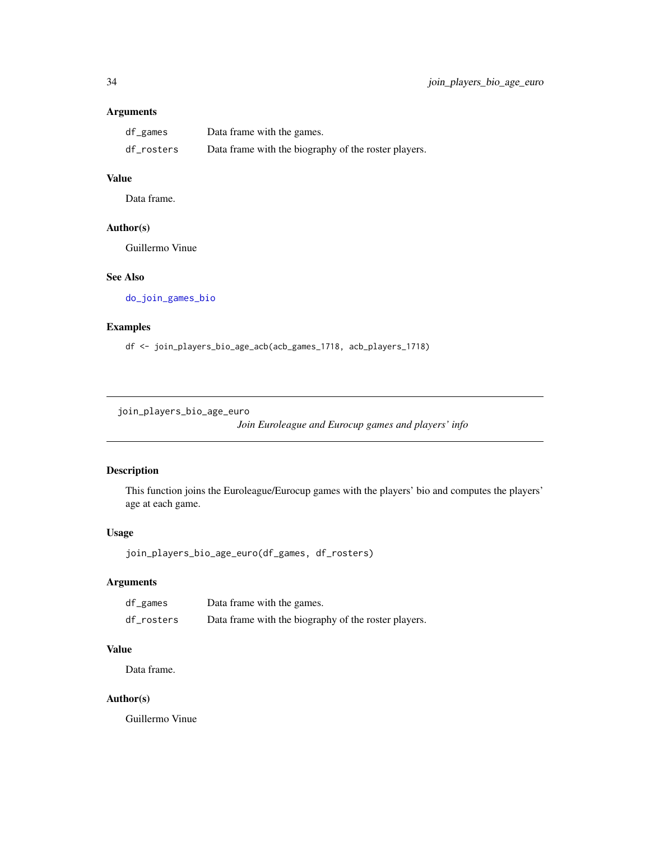### <span id="page-33-0"></span>Arguments

| df_games   | Data frame with the games.                           |
|------------|------------------------------------------------------|
| df_rosters | Data frame with the biography of the roster players. |

## Value

Data frame.

### Author(s)

Guillermo Vinue

### See Also

[do\\_join\\_games\\_bio](#page-8-1)

## Examples

df <- join\_players\_bio\_age\_acb(acb\_games\_1718, acb\_players\_1718)

<span id="page-33-1"></span>join\_players\_bio\_age\_euro

*Join Euroleague and Eurocup games and players' info*

### Description

This function joins the Euroleague/Eurocup games with the players' bio and computes the players' age at each game.

### Usage

```
join_players_bio_age_euro(df_games, df_rosters)
```
### Arguments

| df_games   | Data frame with the games.                           |
|------------|------------------------------------------------------|
| df_rosters | Data frame with the biography of the roster players. |

### Value

Data frame.

### Author(s)

Guillermo Vinue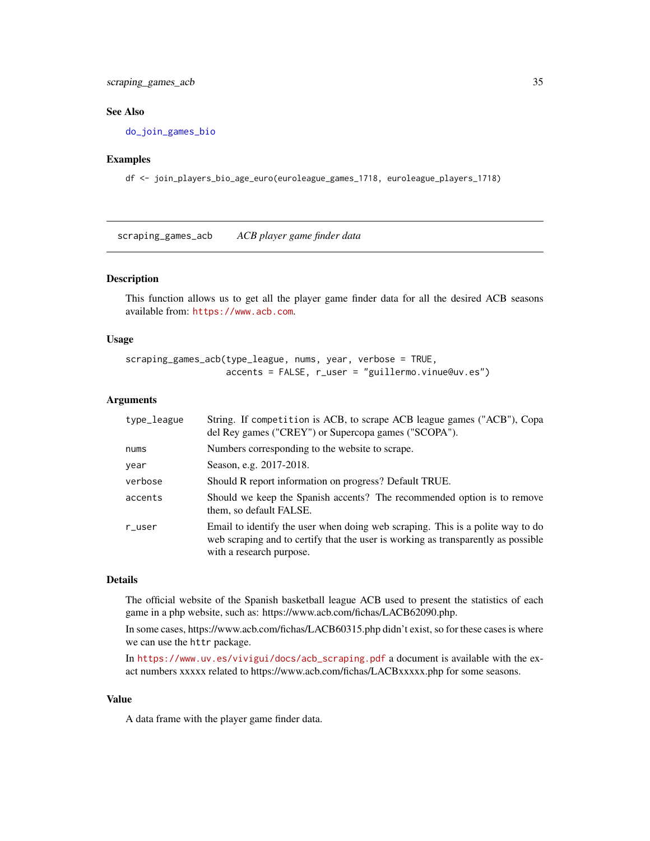### <span id="page-34-0"></span>scraping\_games\_acb 35

#### See Also

[do\\_join\\_games\\_bio](#page-8-1)

#### Examples

df <- join\_players\_bio\_age\_euro(euroleague\_games\_1718, euroleague\_players\_1718)

<span id="page-34-1"></span>scraping\_games\_acb *ACB player game finder data*

#### Description

This function allows us to get all the player game finder data for all the desired ACB seasons available from: <https://www.acb.com>.

#### Usage

scraping\_games\_acb(type\_league, nums, year, verbose = TRUE, accents = FALSE, r\_user = "guillermo.vinue@uv.es")

#### Arguments

| String. If competition is ACB, to scrape ACB league games ("ACB"), Copa<br>del Rey games ("CREY") or Supercopa games ("SCOPA").                                                                 |
|-------------------------------------------------------------------------------------------------------------------------------------------------------------------------------------------------|
| Numbers corresponding to the website to scrape.                                                                                                                                                 |
| Season, e.g. 2017-2018.                                                                                                                                                                         |
| Should R report information on progress? Default TRUE.                                                                                                                                          |
| Should we keep the Spanish accents? The recommended option is to remove<br>them, so default FALSE.                                                                                              |
| Email to identify the user when doing web scraping. This is a polite way to do<br>web scraping and to certify that the user is working as transparently as possible<br>with a research purpose. |
|                                                                                                                                                                                                 |

#### Details

The official website of the Spanish basketball league ACB used to present the statistics of each game in a php website, such as: https://www.acb.com/fichas/LACB62090.php.

In some cases, https://www.acb.com/fichas/LACB60315.php didn't exist, so for these cases is where we can use the httr package.

In [https://www.uv.es/vivigui/docs/acb\\_scraping.pdf](https://www.uv.es/vivigui/docs/acb_scraping.pdf) a document is available with the exact numbers xxxxx related to https://www.acb.com/fichas/LACBxxxxx.php for some seasons.

#### Value

A data frame with the player game finder data.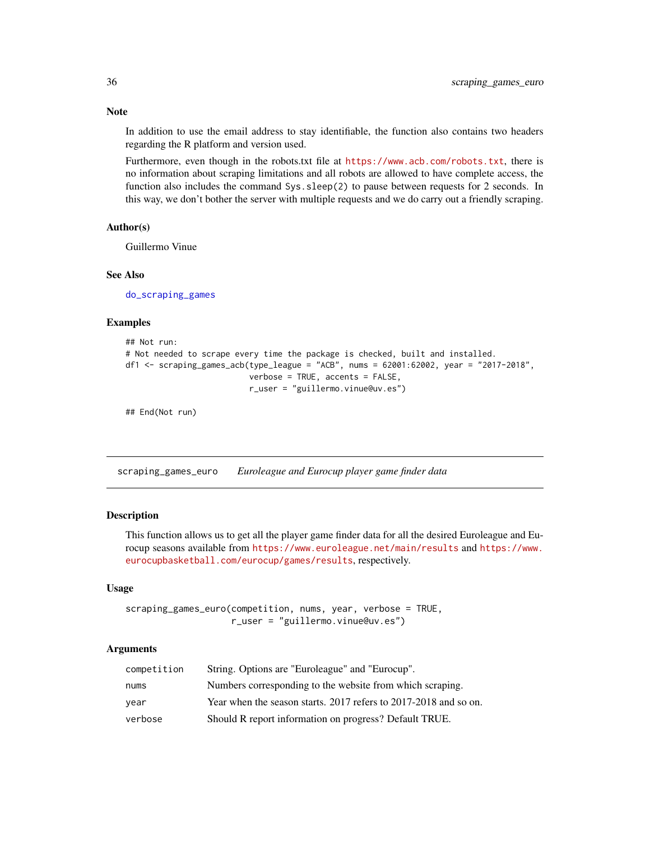Note

In addition to use the email address to stay identifiable, the function also contains two headers regarding the R platform and version used.

Furthermore, even though in the robots.txt file at <https://www.acb.com/robots.txt>, there is no information about scraping limitations and all robots are allowed to have complete access, the function also includes the command Sys.sleep(2) to pause between requests for 2 seconds. In this way, we don't bother the server with multiple requests and we do carry out a friendly scraping.

#### Author(s)

Guillermo Vinue

### See Also

[do\\_scraping\\_games](#page-11-1)

#### Examples

```
## Not run:
# Not needed to scrape every time the package is checked, built and installed.
df1 <- scraping_games_acb(type_league = "ACB", nums = 62001:62002, year = "2017-2018",
                          verbose = TRUE, accents = FALSE,
                          r_user = "guillermo.vinue@uv.es")
```
## End(Not run)

<span id="page-35-1"></span>scraping\_games\_euro *Euroleague and Eurocup player game finder data*

#### **Description**

This function allows us to get all the player game finder data for all the desired Euroleague and Eurocup seasons available from <https://www.euroleague.net/main/results> and [https://www.](https://www.eurocupbasketball.com/eurocup/games/results) [eurocupbasketball.com/eurocup/games/results](https://www.eurocupbasketball.com/eurocup/games/results), respectively.

#### Usage

```
scraping_games_euro(competition, nums, year, verbose = TRUE,
                    r_user = "guillermo.vinue@uv.es")
```
### **Arguments**

| competition | String. Options are "Euroleague" and "Eurocup".                  |
|-------------|------------------------------------------------------------------|
| nums        | Numbers corresponding to the website from which scraping.        |
| year        | Year when the season starts. 2017 refers to 2017-2018 and so on. |
| verbose     | Should R report information on progress? Default TRUE.           |

<span id="page-35-0"></span>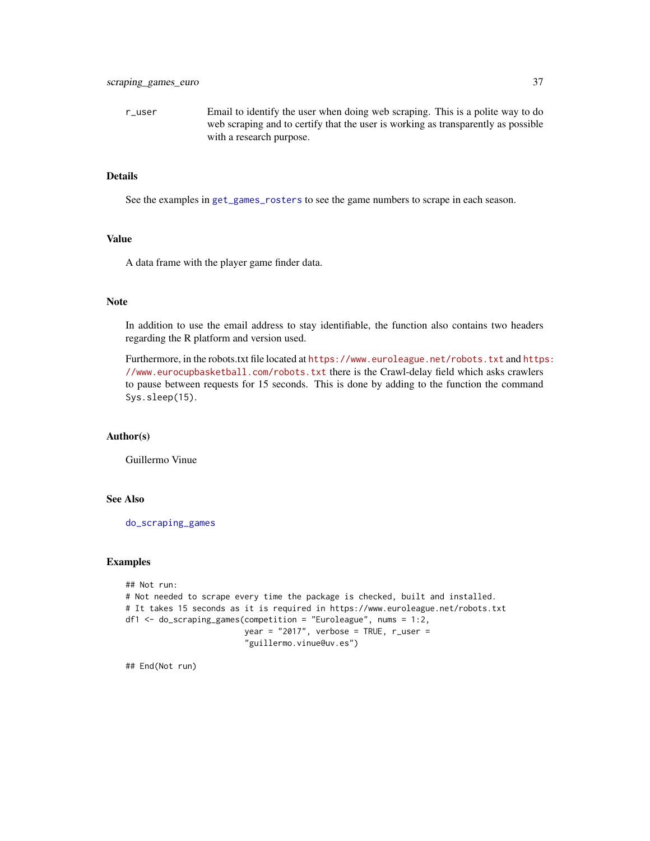<span id="page-36-0"></span>r\_user Email to identify the user when doing web scraping. This is a polite way to do web scraping and to certify that the user is working as transparently as possible with a research purpose.

#### Details

See the examples in [get\\_games\\_rosters](#page-21-1) to see the game numbers to scrape in each season.

#### Value

A data frame with the player game finder data.

### Note

In addition to use the email address to stay identifiable, the function also contains two headers regarding the R platform and version used.

Furthermore, in the robots.txt file located at <https://www.euroleague.net/robots.txt> and [https](https://www.eurocupbasketball.com/robots.txt): [//www.eurocupbasketball.com/robots.txt](https://www.eurocupbasketball.com/robots.txt) there is the Crawl-delay field which asks crawlers to pause between requests for 15 seconds. This is done by adding to the function the command Sys.sleep(15).

#### Author(s)

Guillermo Vinue

#### See Also

[do\\_scraping\\_games](#page-11-1)

#### Examples

```
## Not run:
# Not needed to scrape every time the package is checked, built and installed.
# It takes 15 seconds as it is required in https://www.euroleague.net/robots.txt
df1 <- do_scraping_games(competition = "Euroleague", nums = 1:2,
                        year = "2017", verbose = TRUE, r_user ="guillermo.vinue@uv.es")
```
## End(Not run)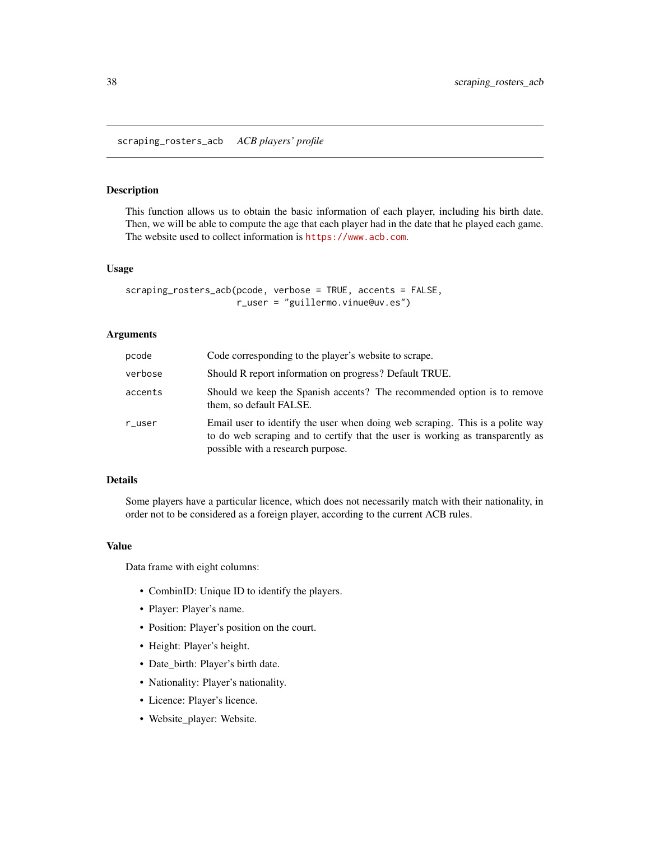<span id="page-37-0"></span>scraping\_rosters\_acb *ACB players' profile*

### Description

This function allows us to obtain the basic information of each player, including his birth date. Then, we will be able to compute the age that each player had in the date that he played each game. The website used to collect information is <https://www.acb.com>.

#### Usage

```
scraping_rosters_acb(pcode, verbose = TRUE, accents = FALSE,
                     r_user = "guillermo.vinue@uv.es")
```
### Arguments

| pcode   | Code corresponding to the player's website to scrape.                                                                                                                                                |
|---------|------------------------------------------------------------------------------------------------------------------------------------------------------------------------------------------------------|
| verbose | Should R report information on progress? Default TRUE.                                                                                                                                               |
| accents | Should we keep the Spanish accents? The recommended option is to remove<br>them, so default FALSE.                                                                                                   |
| r_user  | Email user to identify the user when doing web scraping. This is a polite way<br>to do web scraping and to certify that the user is working as transparently as<br>possible with a research purpose. |

### Details

Some players have a particular licence, which does not necessarily match with their nationality, in order not to be considered as a foreign player, according to the current ACB rules.

### Value

Data frame with eight columns:

- CombinID: Unique ID to identify the players.
- Player: Player's name.
- Position: Player's position on the court.
- Height: Player's height.
- Date\_birth: Player's birth date.
- Nationality: Player's nationality.
- Licence: Player's licence.
- Website\_player: Website.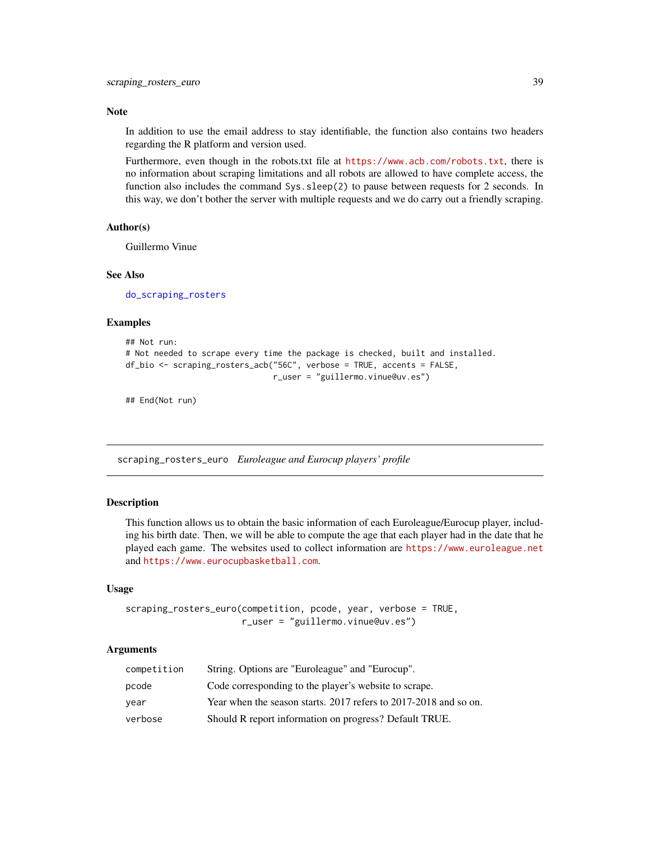#### <span id="page-38-0"></span>Note

In addition to use the email address to stay identifiable, the function also contains two headers regarding the R platform and version used.

Furthermore, even though in the robots.txt file at <https://www.acb.com/robots.txt>, there is no information about scraping limitations and all robots are allowed to have complete access, the function also includes the command Sys.sleep(2) to pause between requests for 2 seconds. In this way, we don't bother the server with multiple requests and we do carry out a friendly scraping.

#### Author(s)

Guillermo Vinue

#### See Also

[do\\_scraping\\_rosters](#page-12-1)

#### Examples

```
## Not run:
# Not needed to scrape every time the package is checked, built and installed.
df_bio <- scraping_rosters_acb("56C", verbose = TRUE, accents = FALSE,
                               r_user = "guillermo.vinue@uv.es")
```
## End(Not run)

<span id="page-38-1"></span>scraping\_rosters\_euro *Euroleague and Eurocup players' profile*

### Description

This function allows us to obtain the basic information of each Euroleague/Eurocup player, including his birth date. Then, we will be able to compute the age that each player had in the date that he played each game. The websites used to collect information are <https://www.euroleague.net> and <https://www.eurocupbasketball.com>.

#### Usage

```
scraping_rosters_euro(competition, pcode, year, verbose = TRUE,
                      r_user = "guillermo.vinue@uv.es")
```
### Arguments

| competition | String. Options are "Euroleague" and "Eurocup".                  |
|-------------|------------------------------------------------------------------|
| pcode       | Code corresponding to the player's website to scrape.            |
| vear        | Year when the season starts. 2017 refers to 2017-2018 and so on. |
| verbose     | Should R report information on progress? Default TRUE.           |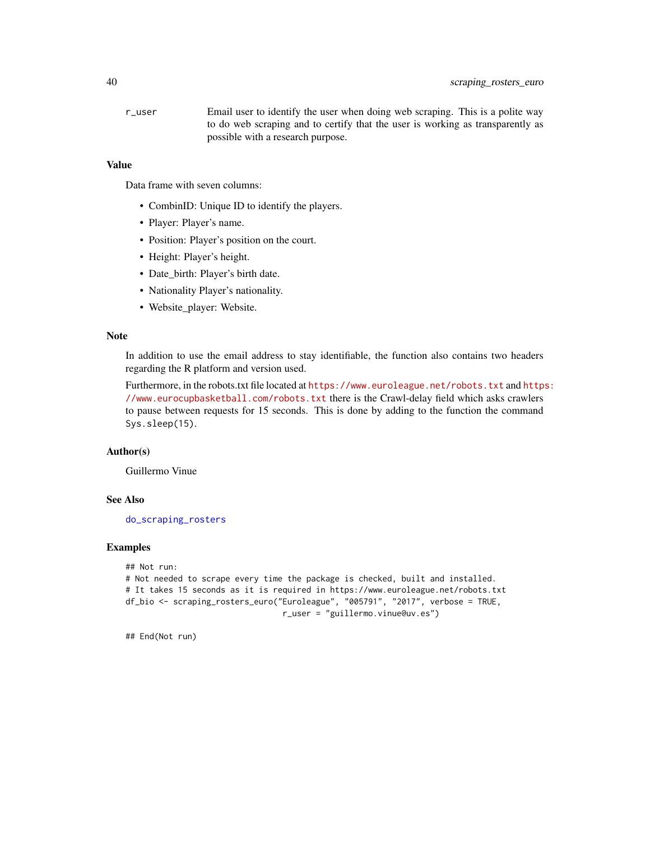<span id="page-39-0"></span>r\_user Email user to identify the user when doing web scraping. This is a polite way to do web scraping and to certify that the user is working as transparently as possible with a research purpose.

### Value

Data frame with seven columns:

- CombinID: Unique ID to identify the players.
- Player: Player's name.
- Position: Player's position on the court.
- Height: Player's height.
- Date\_birth: Player's birth date.
- Nationality Player's nationality.
- Website\_player: Website.

#### Note

In addition to use the email address to stay identifiable, the function also contains two headers regarding the R platform and version used.

Furthermore, in the robots.txt file located at <https://www.euroleague.net/robots.txt> and [https](https://www.eurocupbasketball.com/robots.txt): [//www.eurocupbasketball.com/robots.txt](https://www.eurocupbasketball.com/robots.txt) there is the Crawl-delay field which asks crawlers to pause between requests for 15 seconds. This is done by adding to the function the command Sys.sleep(15).

### Author(s)

Guillermo Vinue

### See Also

[do\\_scraping\\_rosters](#page-12-1)

#### Examples

```
## Not run:
# Not needed to scrape every time the package is checked, built and installed.
# It takes 15 seconds as it is required in https://www.euroleague.net/robots.txt
df_bio <- scraping_rosters_euro("Euroleague", "005791", "2017", verbose = TRUE,
                                 r_user = "guillermo.vinue@uv.es")
```
## End(Not run)